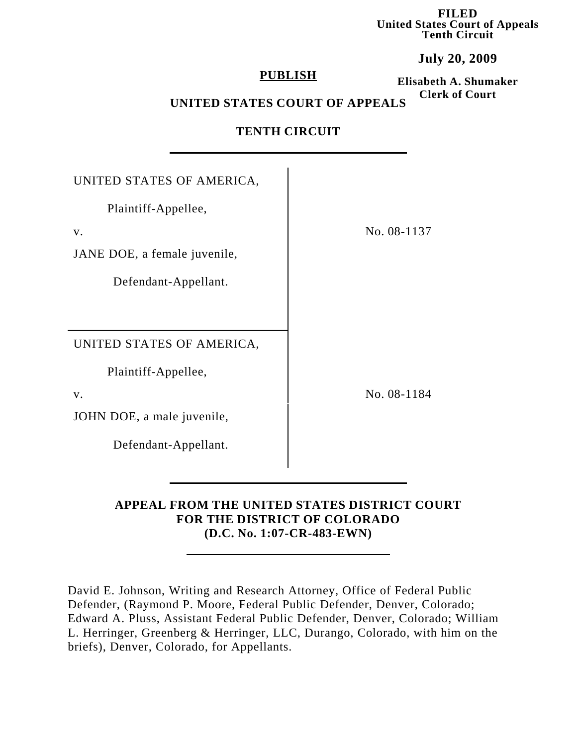**FILED United States Court of Appeals Tenth Circuit**

**July 20, 2009**

## **PUBLISH**

**Elisabeth A. Shumaker Clerk of Court**

# **UNITED STATES COURT OF APPEALS**

| UNITED STATES OF AMERICA,    |
|------------------------------|
| Plaintiff-Appellee,          |
| V.                           |
| JANE DOE, a female juvenile, |
| Defendant-Appellant.         |
|                              |
|                              |
| UNITED STATES OF AMERICA,    |
| Plaintiff-Appellee,          |
| V.                           |
| JOHN DOE, a male juvenile,   |
| Defendant-Appellant.         |
|                              |

## **TENTH CIRCUIT**

# **APPEAL FROM THE UNITED STATES DISTRICT COURT FOR THE DISTRICT OF COLORADO (D.C. No. 1:07-CR-483-EWN)**

David E. Johnson, Writing and Research Attorney, Office of Federal Public Defender, (Raymond P. Moore, Federal Public Defender, Denver, Colorado; Edward A. Pluss, Assistant Federal Public Defender, Denver, Colorado; William L. Herringer, Greenberg & Herringer, LLC, Durango, Colorado, with him on the briefs), Denver, Colorado, for Appellants.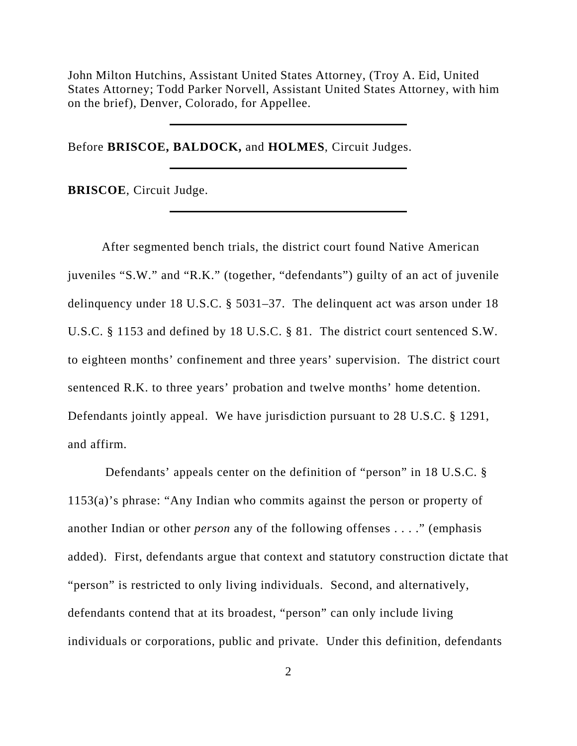John Milton Hutchins, Assistant United States Attorney, (Troy A. Eid, United States Attorney; Todd Parker Norvell, Assistant United States Attorney, with him on the brief), Denver, Colorado, for Appellee.

Before **BRISCOE, BALDOCK,** and **HOLMES**, Circuit Judges.

**BRISCOE**, Circuit Judge.

After segmented bench trials, the district court found Native American juveniles "S.W." and "R.K." (together, "defendants") guilty of an act of juvenile delinquency under 18 U.S.C. § 5031–37. The delinquent act was arson under 18 U.S.C. § 1153 and defined by 18 U.S.C. § 81. The district court sentenced S.W. to eighteen months' confinement and three years' supervision. The district court sentenced R.K. to three years' probation and twelve months' home detention. Defendants jointly appeal. We have jurisdiction pursuant to 28 U.S.C. § 1291, and affirm.

 Defendants' appeals center on the definition of "person" in 18 U.S.C. § 1153(a)'s phrase: "Any Indian who commits against the person or property of another Indian or other *person* any of the following offenses . . . ." (emphasis added). First, defendants argue that context and statutory construction dictate that "person" is restricted to only living individuals. Second, and alternatively, defendants contend that at its broadest, "person" can only include living individuals or corporations, public and private. Under this definition, defendants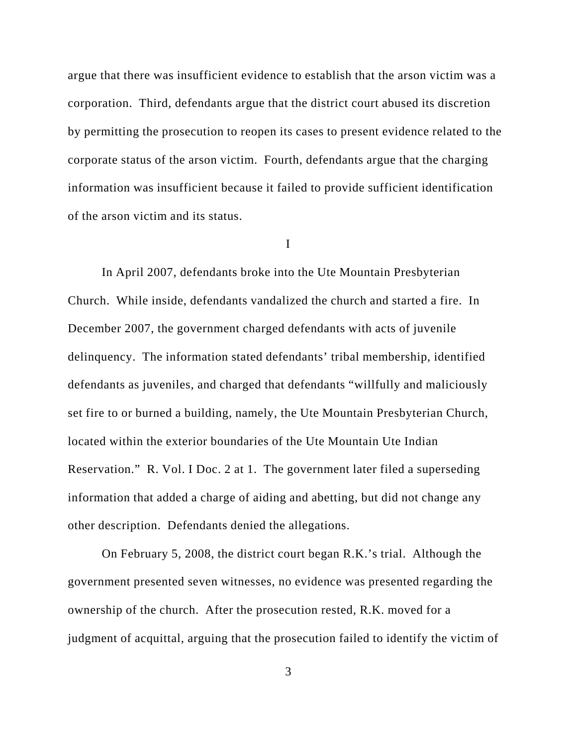argue that there was insufficient evidence to establish that the arson victim was a corporation. Third, defendants argue that the district court abused its discretion by permitting the prosecution to reopen its cases to present evidence related to the corporate status of the arson victim. Fourth, defendants argue that the charging information was insufficient because it failed to provide sufficient identification of the arson victim and its status.

I

In April 2007, defendants broke into the Ute Mountain Presbyterian Church. While inside, defendants vandalized the church and started a fire. In December 2007, the government charged defendants with acts of juvenile delinquency. The information stated defendants' tribal membership, identified defendants as juveniles, and charged that defendants "willfully and maliciously set fire to or burned a building, namely, the Ute Mountain Presbyterian Church, located within the exterior boundaries of the Ute Mountain Ute Indian Reservation." R. Vol. I Doc. 2 at 1. The government later filed a superseding information that added a charge of aiding and abetting, but did not change any other description. Defendants denied the allegations.

On February 5, 2008, the district court began R.K.'s trial. Although the government presented seven witnesses, no evidence was presented regarding the ownership of the church. After the prosecution rested, R.K. moved for a judgment of acquittal, arguing that the prosecution failed to identify the victim of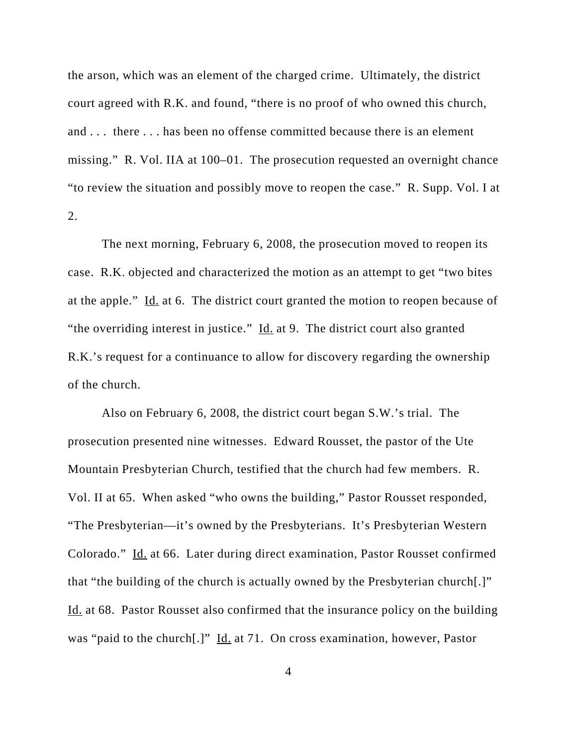the arson, which was an element of the charged crime. Ultimately, the district court agreed with R.K. and found, "there is no proof of who owned this church, and . . . there . . . has been no offense committed because there is an element missing." R. Vol. IIA at 100–01. The prosecution requested an overnight chance "to review the situation and possibly move to reopen the case." R. Supp. Vol. I at 2.

The next morning, February 6, 2008, the prosecution moved to reopen its case. R.K. objected and characterized the motion as an attempt to get "two bites at the apple." Id. at 6. The district court granted the motion to reopen because of "the overriding interest in justice."  $\underline{Id}$  at 9. The district court also granted R.K.'s request for a continuance to allow for discovery regarding the ownership of the church.

Also on February 6, 2008, the district court began S.W.'s trial. The prosecution presented nine witnesses. Edward Rousset, the pastor of the Ute Mountain Presbyterian Church, testified that the church had few members. R. Vol. II at 65. When asked "who owns the building," Pastor Rousset responded, "The Presbyterian—it's owned by the Presbyterians. It's Presbyterian Western Colorado." Id. at 66. Later during direct examination, Pastor Rousset confirmed that "the building of the church is actually owned by the Presbyterian church[.]" Id. at 68. Pastor Rousset also confirmed that the insurance policy on the building was "paid to the church[.]" Id. at 71. On cross examination, however, Pastor

4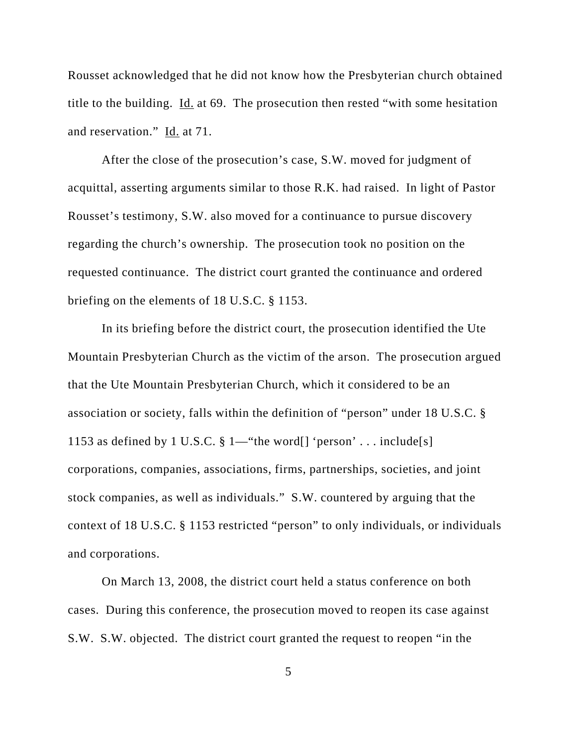Rousset acknowledged that he did not know how the Presbyterian church obtained title to the building. Id. at 69. The prosecution then rested "with some hesitation and reservation." Id. at 71.

After the close of the prosecution's case, S.W. moved for judgment of acquittal, asserting arguments similar to those R.K. had raised. In light of Pastor Rousset's testimony, S.W. also moved for a continuance to pursue discovery regarding the church's ownership. The prosecution took no position on the requested continuance. The district court granted the continuance and ordered briefing on the elements of 18 U.S.C. § 1153.

In its briefing before the district court, the prosecution identified the Ute Mountain Presbyterian Church as the victim of the arson. The prosecution argued that the Ute Mountain Presbyterian Church, which it considered to be an association or society, falls within the definition of "person" under 18 U.S.C. § 1153 as defined by 1 U.S.C.  $\S 1$ —"the word[] 'person' . . . include[s] corporations, companies, associations, firms, partnerships, societies, and joint stock companies, as well as individuals." S.W. countered by arguing that the context of 18 U.S.C. § 1153 restricted "person" to only individuals, or individuals and corporations.

On March 13, 2008, the district court held a status conference on both cases. During this conference, the prosecution moved to reopen its case against S.W. S.W. objected. The district court granted the request to reopen "in the

5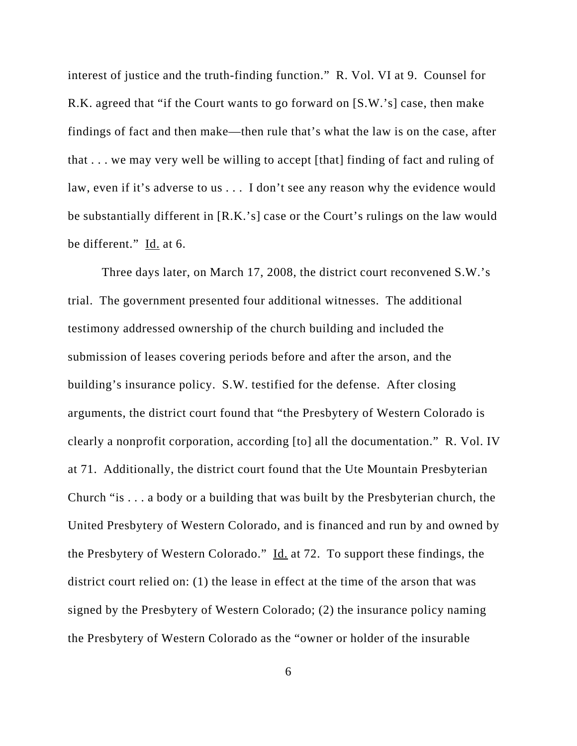interest of justice and the truth-finding function." R. Vol. VI at 9. Counsel for R.K. agreed that "if the Court wants to go forward on [S.W.'s] case, then make findings of fact and then make—then rule that's what the law is on the case, after that . . . we may very well be willing to accept [that] finding of fact and ruling of law, even if it's adverse to us . . . I don't see any reason why the evidence would be substantially different in [R.K.'s] case or the Court's rulings on the law would be different." Id. at 6.

Three days later, on March 17, 2008, the district court reconvened S.W.'s trial. The government presented four additional witnesses. The additional testimony addressed ownership of the church building and included the submission of leases covering periods before and after the arson, and the building's insurance policy. S.W. testified for the defense. After closing arguments, the district court found that "the Presbytery of Western Colorado is clearly a nonprofit corporation, according [to] all the documentation." R. Vol. IV at 71. Additionally, the district court found that the Ute Mountain Presbyterian Church "is . . . a body or a building that was built by the Presbyterian church, the United Presbytery of Western Colorado, and is financed and run by and owned by the Presbytery of Western Colorado." Id. at 72. To support these findings, the district court relied on: (1) the lease in effect at the time of the arson that was signed by the Presbytery of Western Colorado; (2) the insurance policy naming the Presbytery of Western Colorado as the "owner or holder of the insurable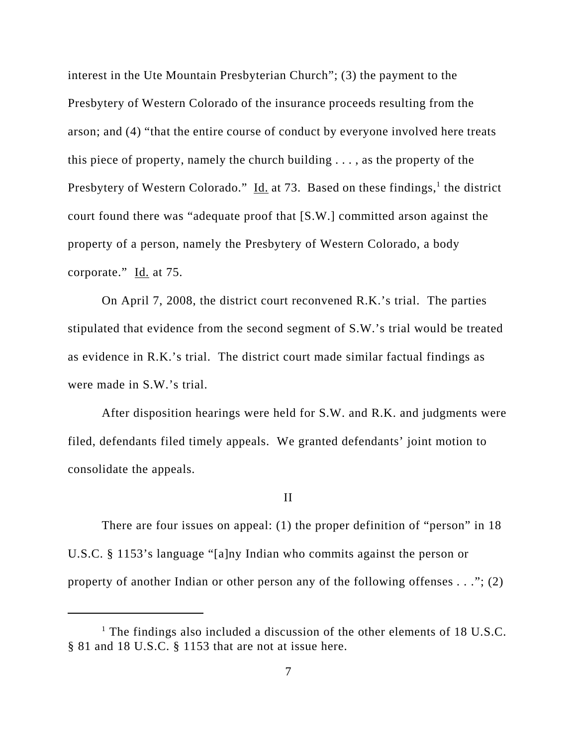interest in the Ute Mountain Presbyterian Church"; (3) the payment to the Presbytery of Western Colorado of the insurance proceeds resulting from the arson; and (4) "that the entire course of conduct by everyone involved here treats this piece of property, namely the church building . . . , as the property of the Presbytery of Western Colorado." Id. at 73. Based on these findings,<sup>1</sup> the district court found there was "adequate proof that [S.W.] committed arson against the property of a person, namely the Presbytery of Western Colorado, a body corporate." Id. at 75.

On April 7, 2008, the district court reconvened R.K.'s trial. The parties stipulated that evidence from the second segment of S.W.'s trial would be treated as evidence in R.K.'s trial. The district court made similar factual findings as were made in S.W.'s trial.

After disposition hearings were held for S.W. and R.K. and judgments were filed, defendants filed timely appeals. We granted defendants' joint motion to consolidate the appeals.

### II

There are four issues on appeal: (1) the proper definition of "person" in 18 U.S.C. § 1153's language "[a]ny Indian who commits against the person or property of another Indian or other person any of the following offenses *. . .*"; (2)

<sup>&</sup>lt;sup>1</sup> The findings also included a discussion of the other elements of 18 U.S.C. § 81 and 18 U.S.C. § 1153 that are not at issue here.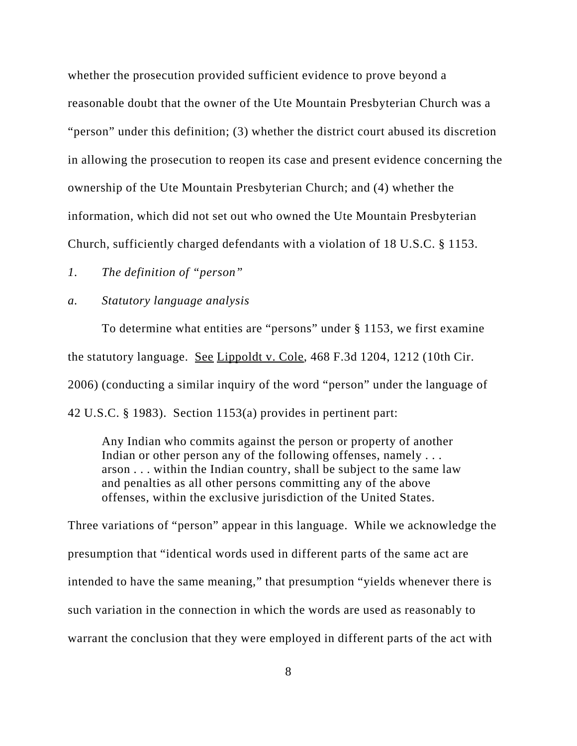whether the prosecution provided sufficient evidence to prove beyond a reasonable doubt that the owner of the Ute Mountain Presbyterian Church was a "person" under this definition; (3) whether the district court abused its discretion in allowing the prosecution to reopen its case and present evidence concerning the ownership of the Ute Mountain Presbyterian Church; and (4) whether the information, which did not set out who owned the Ute Mountain Presbyterian Church, sufficiently charged defendants with a violation of 18 U.S.C. § 1153.

*1. The definition of "person"*

## *a. Statutory language analysis*

To determine what entities are "persons" under § 1153, we first examine the statutory language. See Lippoldt v. Cole, 468 F.3d 1204, 1212 (10th Cir. 2006) (conducting a similar inquiry of the word "person" under the language of 42 U.S.C. § 1983). Section 1153(a) provides in pertinent part:

Any Indian who commits against the person or property of another Indian or other person any of the following offenses, namely ... arson . . . within the Indian country, shall be subject to the same law and penalties as all other persons committing any of the above offenses, within the exclusive jurisdiction of the United States.

Three variations of "person" appear in this language. While we acknowledge the presumption that "identical words used in different parts of the same act are intended to have the same meaning," that presumption "yields whenever there is such variation in the connection in which the words are used as reasonably to warrant the conclusion that they were employed in different parts of the act with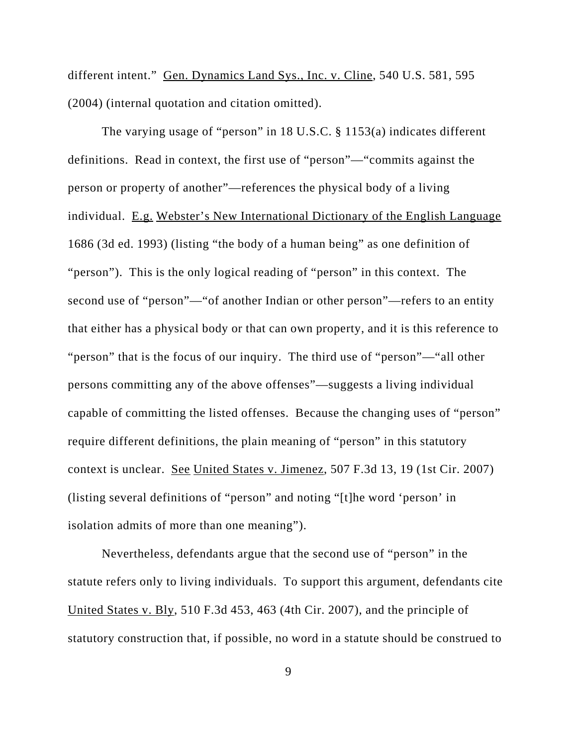different intent." Gen. Dynamics Land Sys., Inc. v. Cline, 540 U.S. 581, 595 (2004) (internal quotation and citation omitted).

The varying usage of "person" in 18 U.S.C. § 1153(a) indicates different definitions. Read in context, the first use of "person"—"commits against the person or property of another"—references the physical body of a living individual. E.g. Webster's New International Dictionary of the English Language 1686 (3d ed. 1993) (listing "the body of a human being" as one definition of "person"). This is the only logical reading of "person" in this context. The second use of "person"—"of another Indian or other person"—refers to an entity that either has a physical body or that can own property, and it is this reference to "person" that is the focus of our inquiry. The third use of "person"—"all other persons committing any of the above offenses"—suggests a living individual capable of committing the listed offenses. Because the changing uses of "person" require different definitions, the plain meaning of "person" in this statutory context is unclear. See United States v. Jimenez, 507 F.3d 13, 19 (1st Cir. 2007) (listing several definitions of "person" and noting "[t]he word 'person' in isolation admits of more than one meaning").

Nevertheless, defendants argue that the second use of "person" in the statute refers only to living individuals. To support this argument, defendants cite United States v. Bly, 510 F.3d 453, 463 (4th Cir. 2007), and the principle of statutory construction that, if possible, no word in a statute should be construed to

9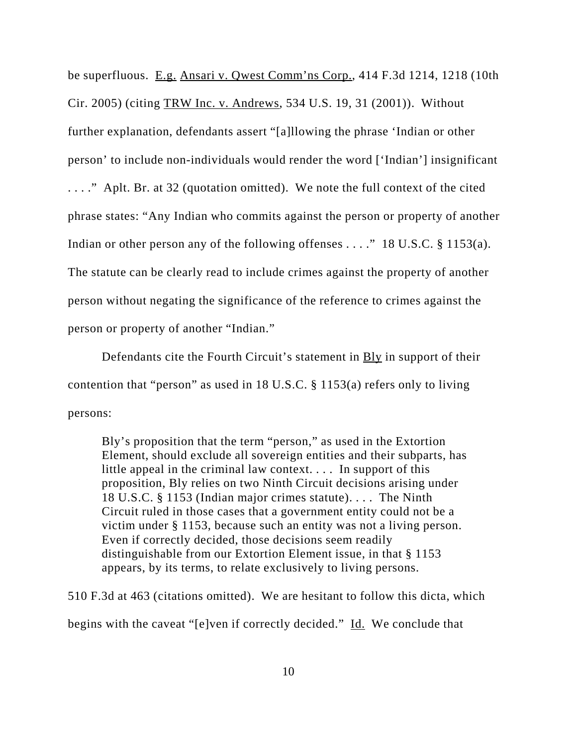be superfluous. E.g. Ansari v. Qwest Comm'ns Corp., 414 F.3d 1214, 1218 (10th Cir. 2005) (citing TRW Inc. v. Andrews, 534 U.S. 19, 31 (2001)). Without further explanation, defendants assert "[a]llowing the phrase 'Indian or other person' to include non-individuals would render the word ['Indian'] insignificant . . . ." Aplt. Br. at 32 (quotation omitted). We note the full context of the cited phrase states: "Any Indian who commits against the person or property of another Indian or other person any of the following offenses . . . ." 18 U.S.C. § 1153(a). The statute can be clearly read to include crimes against the property of another person without negating the significance of the reference to crimes against the person or property of another "Indian."

Defendants cite the Fourth Circuit's statement in **Bly** in support of their contention that "person" as used in 18 U.S.C. § 1153(a) refers only to living persons:

Bly's proposition that the term "person," as used in the Extortion Element, should exclude all sovereign entities and their subparts, has little appeal in the criminal law context. . . . In support of this proposition, Bly relies on two Ninth Circuit decisions arising under 18 U.S.C. § 1153 (Indian major crimes statute). . . . The Ninth Circuit ruled in those cases that a government entity could not be a victim under § 1153, because such an entity was not a living person. Even if correctly decided, those decisions seem readily distinguishable from our Extortion Element issue, in that § 1153 appears, by its terms, to relate exclusively to living persons.

510 F.3d at 463 (citations omitted). We are hesitant to follow this dicta, which begins with the caveat "[e]ven if correctly decided." Id. We conclude that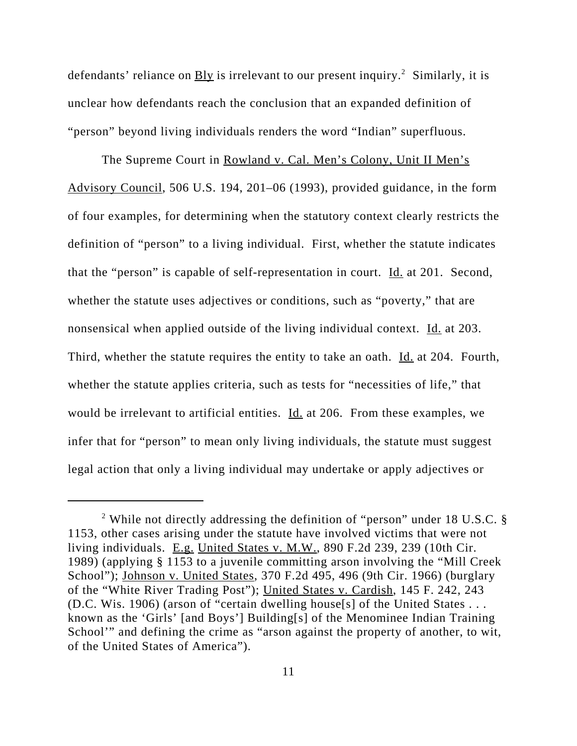defendants' reliance on **Bly** is irrelevant to our present inquiry.<sup>2</sup> Similarly, it is unclear how defendants reach the conclusion that an expanded definition of "person" beyond living individuals renders the word "Indian" superfluous.

The Supreme Court in Rowland v. Cal. Men's Colony, Unit II Men's Advisory Council, 506 U.S. 194, 201–06 (1993), provided guidance, in the form of four examples, for determining when the statutory context clearly restricts the definition of "person" to a living individual. First, whether the statute indicates that the "person" is capable of self-representation in court. Id. at 201. Second, whether the statute uses adjectives or conditions, such as "poverty," that are nonsensical when applied outside of the living individual context. Id. at 203. Third, whether the statute requires the entity to take an oath. Id. at 204. Fourth, whether the statute applies criteria, such as tests for "necessities of life," that would be irrelevant to artificial entities. Id. at 206. From these examples, we infer that for "person" to mean only living individuals, the statute must suggest legal action that only a living individual may undertake or apply adjectives or

<sup>&</sup>lt;sup>2</sup> While not directly addressing the definition of "person" under 18 U.S.C. § 1153, other cases arising under the statute have involved victims that were not living individuals. E.g. United States v. M.W., 890 F.2d 239, 239 (10th Cir. 1989) (applying § 1153 to a juvenile committing arson involving the "Mill Creek School"); Johnson v. United States, 370 F.2d 495, 496 (9th Cir. 1966) (burglary of the "White River Trading Post"); United States v. Cardish, 145 F. 242, 243 (D.C. Wis. 1906) (arson of "certain dwelling house[s] of the United States . . . known as the 'Girls' [and Boys'] Building[s] of the Menominee Indian Training School'" and defining the crime as "arson against the property of another, to wit, of the United States of America").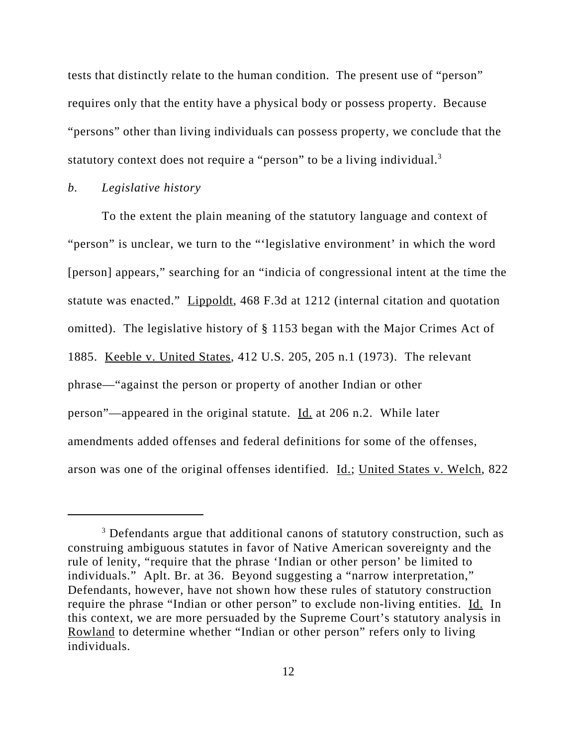tests that distinctly relate to the human condition. The present use of "person" requires only that the entity have a physical body or possess property. Because "persons" other than living individuals can possess property, we conclude that the statutory context does not require a "person" to be a living individual.<sup>3</sup>

## *b. Legislative history*

To the extent the plain meaning of the statutory language and context of "person" is unclear, we turn to the "'legislative environment' in which the word [person] appears," searching for an "indicia of congressional intent at the time the statute was enacted." Lippoldt, 468 F.3d at 1212 (internal citation and quotation omitted). The legislative history of § 1153 began with the Major Crimes Act of 1885. Keeble v. United States, 412 U.S. 205, 205 n.1 (1973). The relevant phrase—"against the person or property of another Indian or other person"—appeared in the original statute. Id. at 206 n.2. While later amendments added offenses and federal definitions for some of the offenses, arson was one of the original offenses identified. Id.; United States v. Welch, 822

<sup>&</sup>lt;sup>3</sup> Defendants argue that additional canons of statutory construction, such as construing ambiguous statutes in favor of Native American sovereignty and the rule of lenity, "require that the phrase 'Indian or other person' be limited to individuals." Aplt. Br. at 36. Beyond suggesting a "narrow interpretation," Defendants, however, have not shown how these rules of statutory construction require the phrase "Indian or other person" to exclude non-living entities. Id. In this context, we are more persuaded by the Supreme Court's statutory analysis in Rowland to determine whether "Indian or other person" refers only to living individuals.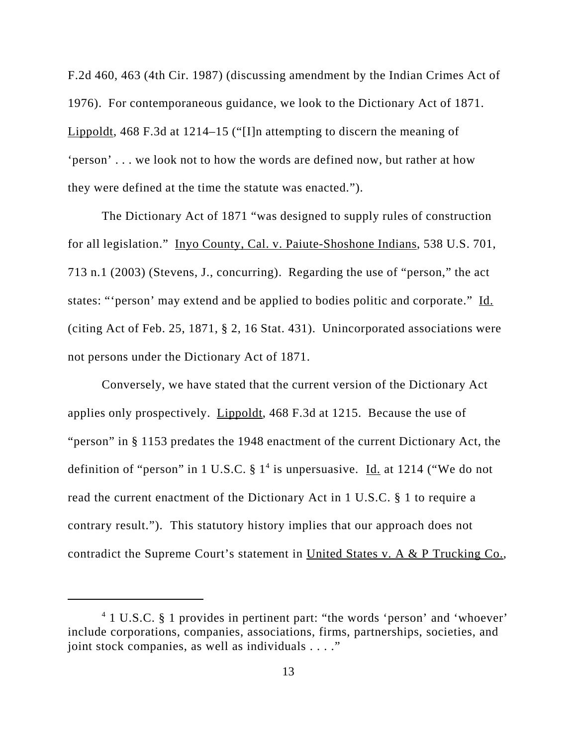F.2d 460, 463 (4th Cir. 1987) (discussing amendment by the Indian Crimes Act of 1976). For contemporaneous guidance, we look to the Dictionary Act of 1871. Lippoldt, 468 F.3d at 1214–15 ("[I]n attempting to discern the meaning of 'person' . . . we look not to how the words are defined now, but rather at how they were defined at the time the statute was enacted.").

The Dictionary Act of 1871 "was designed to supply rules of construction for all legislation." Inyo County, Cal. v. Paiute-Shoshone Indians, 538 U.S. 701, 713 n.1 (2003) (Stevens, J., concurring). Regarding the use of "person," the act states: "'person' may extend and be applied to bodies politic and corporate." Id. (citing Act of Feb. 25, 1871, § 2, 16 Stat. 431). Unincorporated associations were not persons under the Dictionary Act of 1871.

Conversely, we have stated that the current version of the Dictionary Act applies only prospectively. Lippoldt, 468 F.3d at 1215. Because the use of "person" in § 1153 predates the 1948 enactment of the current Dictionary Act, the definition of "person" in 1 U.S.C.  $\S 1<sup>4</sup>$  is unpersuasive. Id. at 1214 ("We do not read the current enactment of the Dictionary Act in 1 U.S.C. § 1 to require a contrary result."). This statutory history implies that our approach does not contradict the Supreme Court's statement in United States v. A & P Trucking Co.,

<sup>&</sup>lt;sup>4</sup> 1 U.S.C. § 1 provides in pertinent part: "the words 'person' and 'whoever' include corporations, companies, associations, firms, partnerships, societies, and joint stock companies, as well as individuals . . . ."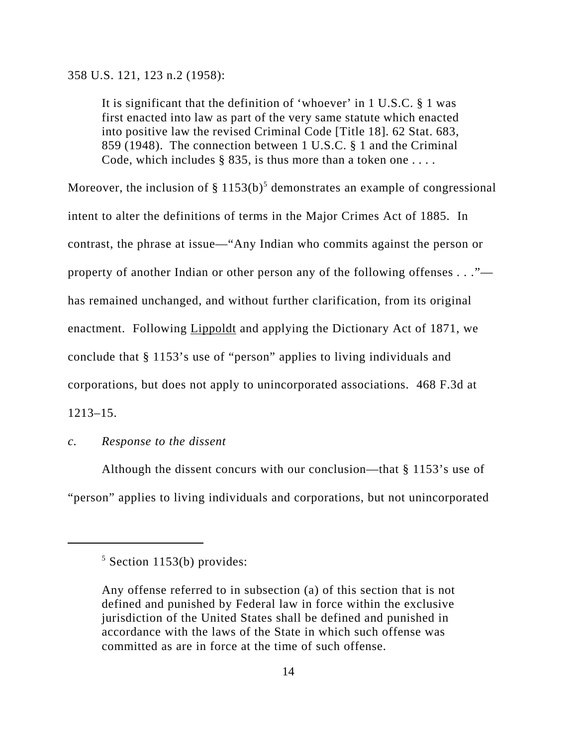358 U.S. 121, 123 n.2 (1958):

It is significant that the definition of 'whoever' in 1 U.S.C. § 1 was first enacted into law as part of the very same statute which enacted into positive law the revised Criminal Code [Title 18]. 62 Stat. 683, 859 (1948). The connection between 1 U.S.C. § 1 and the Criminal Code, which includes § 835, is thus more than a token one . . . .

Moreover, the inclusion of  $\S 1153(b)^5$  demonstrates an example of congressional intent to alter the definitions of terms in the Major Crimes Act of 1885. In contrast, the phrase at issue—"Any Indian who commits against the person or property of another Indian or other person any of the following offenses *. . .*" has remained unchanged, and without further clarification, from its original enactment. Following **Lippoldt** and applying the Dictionary Act of 1871, we conclude that § 1153's use of "person" applies to living individuals and corporations, but does not apply to unincorporated associations. 468 F.3d at 1213–15.

## *c. Response to the dissent*

Although the dissent concurs with our conclusion—that § 1153's use of "person" applies to living individuals and corporations, but not unincorporated

 $5$  Section 1153(b) provides:

Any offense referred to in subsection (a) of this section that is not defined and punished by Federal law in force within the exclusive jurisdiction of the United States shall be defined and punished in accordance with the laws of the State in which such offense was committed as are in force at the time of such offense.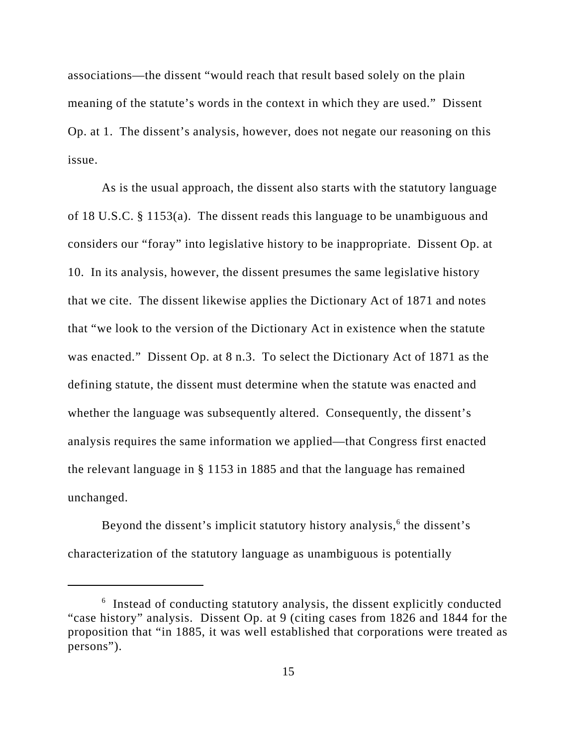associations—the dissent "would reach that result based solely on the plain meaning of the statute's words in the context in which they are used." Dissent Op. at 1. The dissent's analysis, however, does not negate our reasoning on this issue.

As is the usual approach, the dissent also starts with the statutory language of 18 U.S.C. § 1153(a). The dissent reads this language to be unambiguous and considers our "foray" into legislative history to be inappropriate. Dissent Op. at 10. In its analysis, however, the dissent presumes the same legislative history that we cite. The dissent likewise applies the Dictionary Act of 1871 and notes that "we look to the version of the Dictionary Act in existence when the statute was enacted." Dissent Op. at 8 n.3. To select the Dictionary Act of 1871 as the defining statute, the dissent must determine when the statute was enacted and whether the language was subsequently altered. Consequently, the dissent's analysis requires the same information we applied—that Congress first enacted the relevant language in § 1153 in 1885 and that the language has remained unchanged.

Beyond the dissent's implicit statutory history analysis,<sup>6</sup> the dissent's characterization of the statutory language as unambiguous is potentially

<sup>&</sup>lt;sup>6</sup> Instead of conducting statutory analysis, the dissent explicitly conducted "case history" analysis. Dissent Op. at 9 (citing cases from 1826 and 1844 for the proposition that "in 1885, it was well established that corporations were treated as persons").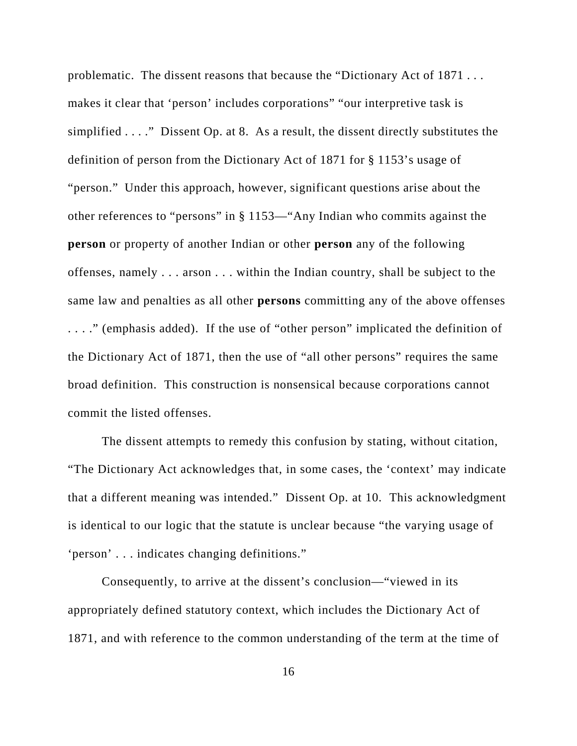problematic. The dissent reasons that because the "Dictionary Act of 1871 . . . makes it clear that 'person' includes corporations" "our interpretive task is simplified . . . ." Dissent Op. at 8. As a result, the dissent directly substitutes the definition of person from the Dictionary Act of 1871 for § 1153's usage of "person." Under this approach, however, significant questions arise about the other references to "persons" in § 1153—"Any Indian who commits against the **person** or property of another Indian or other **person** any of the following offenses, namely . . . arson . . . within the Indian country, shall be subject to the same law and penalties as all other **persons** committing any of the above offenses . . . ." (emphasis added). If the use of "other person" implicated the definition of the Dictionary Act of 1871, then the use of "all other persons" requires the same broad definition. This construction is nonsensical because corporations cannot commit the listed offenses.

The dissent attempts to remedy this confusion by stating, without citation, "The Dictionary Act acknowledges that, in some cases, the 'context' may indicate that a different meaning was intended." Dissent Op. at 10. This acknowledgment is identical to our logic that the statute is unclear because "the varying usage of 'person' . . . indicates changing definitions."

Consequently, to arrive at the dissent's conclusion—"viewed in its appropriately defined statutory context, which includes the Dictionary Act of 1871, and with reference to the common understanding of the term at the time of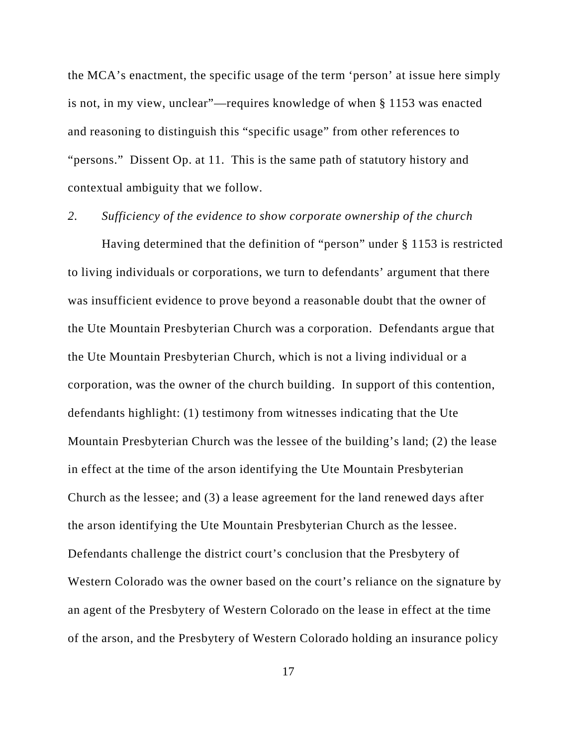the MCA's enactment, the specific usage of the term 'person' at issue here simply is not, in my view, unclear"—requires knowledge of when § 1153 was enacted and reasoning to distinguish this "specific usage" from other references to "persons." Dissent Op. at 11. This is the same path of statutory history and contextual ambiguity that we follow.

*2. Sufficiency of the evidence to show corporate ownership of the church*

Having determined that the definition of "person" under § 1153 is restricted to living individuals or corporations, we turn to defendants' argument that there was insufficient evidence to prove beyond a reasonable doubt that the owner of the Ute Mountain Presbyterian Church was a corporation. Defendants argue that the Ute Mountain Presbyterian Church, which is not a living individual or a corporation, was the owner of the church building. In support of this contention, defendants highlight: (1) testimony from witnesses indicating that the Ute Mountain Presbyterian Church was the lessee of the building's land; (2) the lease in effect at the time of the arson identifying the Ute Mountain Presbyterian Church as the lessee; and (3) a lease agreement for the land renewed days after the arson identifying the Ute Mountain Presbyterian Church as the lessee. Defendants challenge the district court's conclusion that the Presbytery of Western Colorado was the owner based on the court's reliance on the signature by an agent of the Presbytery of Western Colorado on the lease in effect at the time of the arson, and the Presbytery of Western Colorado holding an insurance policy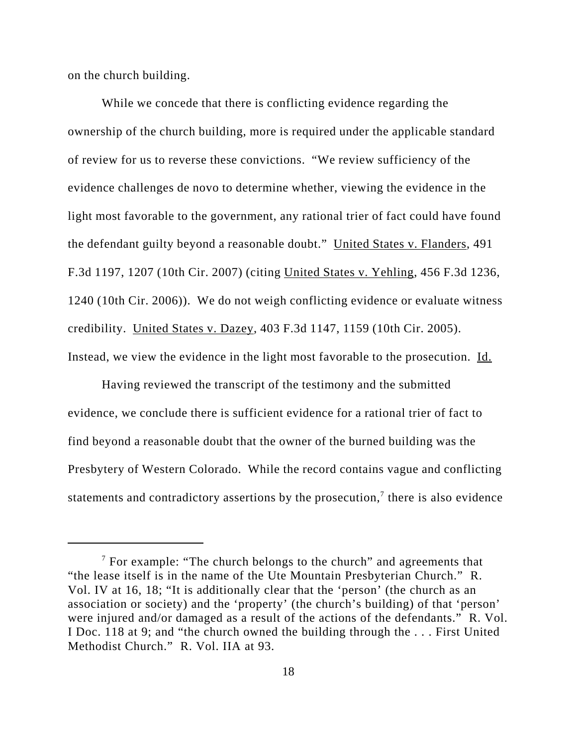on the church building.

While we concede that there is conflicting evidence regarding the ownership of the church building, more is required under the applicable standard of review for us to reverse these convictions. "We review sufficiency of the evidence challenges de novo to determine whether, viewing the evidence in the light most favorable to the government, any rational trier of fact could have found the defendant guilty beyond a reasonable doubt." United States v. Flanders, 491 F.3d 1197, 1207 (10th Cir. 2007) (citing United States v. Yehling, 456 F.3d 1236, 1240 (10th Cir. 2006)). We do not weigh conflicting evidence or evaluate witness credibility. United States v. Dazey, 403 F.3d 1147, 1159 (10th Cir. 2005). Instead, we view the evidence in the light most favorable to the prosecution. Id.

Having reviewed the transcript of the testimony and the submitted evidence, we conclude there is sufficient evidence for a rational trier of fact to find beyond a reasonable doubt that the owner of the burned building was the Presbytery of Western Colorado. While the record contains vague and conflicting statements and contradictory assertions by the prosecution,<sup>7</sup> there is also evidence

 $7$  For example: "The church belongs to the church" and agreements that "the lease itself is in the name of the Ute Mountain Presbyterian Church." R. Vol. IV at 16, 18; "It is additionally clear that the 'person' (the church as an association or society) and the 'property' (the church's building) of that 'person' were injured and/or damaged as a result of the actions of the defendants." R. Vol. I Doc. 118 at 9; and "the church owned the building through the . . . First United Methodist Church." R. Vol. IIA at 93.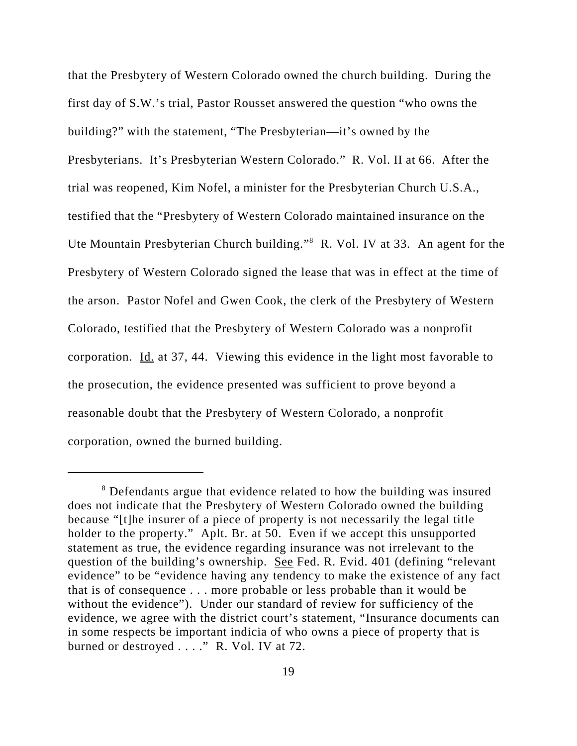that the Presbytery of Western Colorado owned the church building. During the first day of S.W.'s trial, Pastor Rousset answered the question "who owns the building?" with the statement, "The Presbyterian—it's owned by the Presbyterians. It's Presbyterian Western Colorado." R. Vol. II at 66. After the trial was reopened, Kim Nofel, a minister for the Presbyterian Church U.S.A., testified that the "Presbytery of Western Colorado maintained insurance on the Ute Mountain Presbyterian Church building."<sup>8</sup> R. Vol. IV at 33. An agent for the Presbytery of Western Colorado signed the lease that was in effect at the time of the arson. Pastor Nofel and Gwen Cook, the clerk of the Presbytery of Western Colorado, testified that the Presbytery of Western Colorado was a nonprofit corporation.  $\underline{Id}$  at 37, 44. Viewing this evidence in the light most favorable to the prosecution, the evidence presented was sufficient to prove beyond a reasonable doubt that the Presbytery of Western Colorado, a nonprofit corporation, owned the burned building.

<sup>&</sup>lt;sup>8</sup> Defendants argue that evidence related to how the building was insured does not indicate that the Presbytery of Western Colorado owned the building because "[t]he insurer of a piece of property is not necessarily the legal title holder to the property." Aplt. Br. at 50. Even if we accept this unsupported statement as true, the evidence regarding insurance was not irrelevant to the question of the building's ownership. See Fed. R. Evid. 401 (defining "relevant evidence" to be "evidence having any tendency to make the existence of any fact that is of consequence . . . more probable or less probable than it would be without the evidence"). Under our standard of review for sufficiency of the evidence, we agree with the district court's statement, "Insurance documents can in some respects be important indicia of who owns a piece of property that is burned or destroyed . . . . " R. Vol. IV at 72.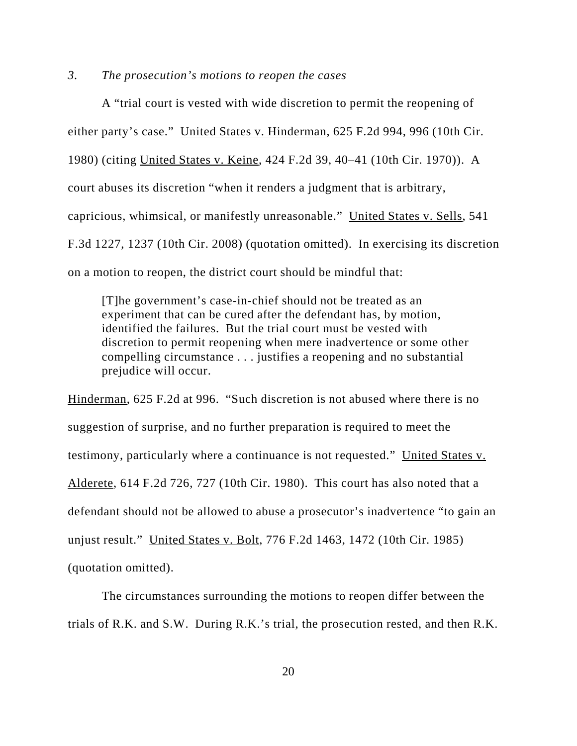### *3. The prosecution's motions to reopen the cases*

A "trial court is vested with wide discretion to permit the reopening of either party's case." United States v. Hinderman, 625 F.2d 994, 996 (10th Cir. 1980) (citing United States v. Keine, 424 F.2d 39, 40–41 (10th Cir. 1970)). A court abuses its discretion "when it renders a judgment that is arbitrary, capricious, whimsical, or manifestly unreasonable." United States v. Sells, 541 F.3d 1227, 1237 (10th Cir. 2008) (quotation omitted). In exercising its discretion on a motion to reopen, the district court should be mindful that:

[T]he government's case-in-chief should not be treated as an experiment that can be cured after the defendant has, by motion, identified the failures. But the trial court must be vested with discretion to permit reopening when mere inadvertence or some other compelling circumstance . . . justifies a reopening and no substantial prejudice will occur.

Hinderman, 625 F.2d at 996. "Such discretion is not abused where there is no suggestion of surprise, and no further preparation is required to meet the testimony, particularly where a continuance is not requested." United States v. Alderete, 614 F.2d 726, 727 (10th Cir. 1980). This court has also noted that a defendant should not be allowed to abuse a prosecutor's inadvertence "to gain an unjust result." United States v. Bolt, 776 F.2d 1463, 1472 (10th Cir. 1985) (quotation omitted).

The circumstances surrounding the motions to reopen differ between the trials of R.K. and S.W. During R.K.'s trial, the prosecution rested, and then R.K.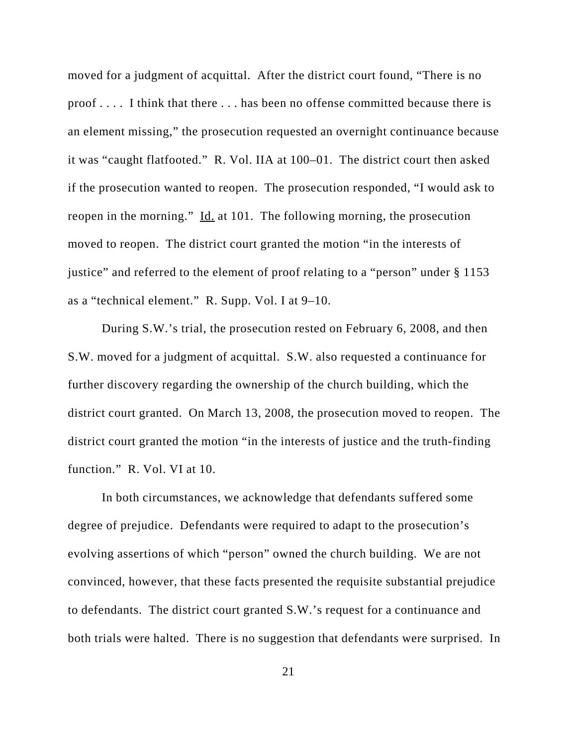moved for a judgment of acquittal. After the district court found, "There is no proof . . . . I think that there . . . has been no offense committed because there is an element missing," the prosecution requested an overnight continuance because it was "caught flatfooted." R. Vol. IIA at 100–01. The district court then asked if the prosecution wanted to reopen. The prosecution responded, "I would ask to reopen in the morning." Id. at 101. The following morning, the prosecution moved to reopen. The district court granted the motion "in the interests of justice" and referred to the element of proof relating to a "person" under § 1153 as a "technical element." R. Supp. Vol. I at 9–10.

During S.W.'s trial, the prosecution rested on February 6, 2008, and then S.W. moved for a judgment of acquittal. S.W. also requested a continuance for further discovery regarding the ownership of the church building, which the district court granted. On March 13, 2008, the prosecution moved to reopen. The district court granted the motion "in the interests of justice and the truth-finding function." R. Vol. VI at 10.

In both circumstances, we acknowledge that defendants suffered some degree of prejudice. Defendants were required to adapt to the prosecution's evolving assertions of which "person" owned the church building. We are not convinced, however, that these facts presented the requisite substantial prejudice to defendants. The district court granted S.W.'s request for a continuance and both trials were halted. There is no suggestion that defendants were surprised. In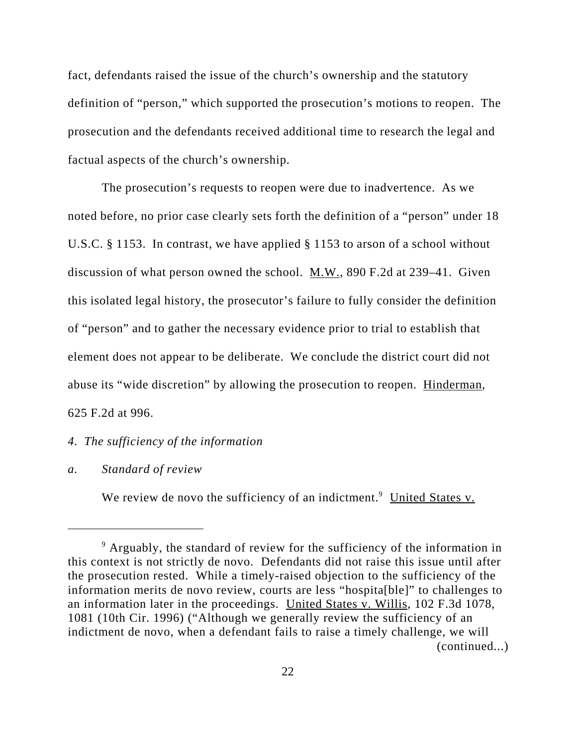fact, defendants raised the issue of the church's ownership and the statutory definition of "person," which supported the prosecution's motions to reopen. The prosecution and the defendants received additional time to research the legal and factual aspects of the church's ownership.

The prosecution's requests to reopen were due to inadvertence. As we noted before, no prior case clearly sets forth the definition of a "person" under 18 U.S.C. § 1153. In contrast, we have applied § 1153 to arson of a school without discussion of what person owned the school.  $M.W.,$  890 F.2d at 239–41. Given this isolated legal history, the prosecutor's failure to fully consider the definition of "person" and to gather the necessary evidence prior to trial to establish that element does not appear to be deliberate. We conclude the district court did not abuse its "wide discretion" by allowing the prosecution to reopen. Hinderman, 625 F.2d at 996.

## *4. The sufficiency of the information*

## *a. Standard of review*

We review de novo the sufficiency of an indictment.<sup>9</sup> United States v.

<sup>&</sup>lt;sup>9</sup> Arguably, the standard of review for the sufficiency of the information in this context is not strictly de novo. Defendants did not raise this issue until after the prosecution rested. While a timely-raised objection to the sufficiency of the information merits de novo review, courts are less "hospita[ble]" to challenges to an information later in the proceedings. United States v. Willis, 102 F.3d 1078, 1081 (10th Cir. 1996) ("Although we generally review the sufficiency of an indictment de novo, when a defendant fails to raise a timely challenge, we will (continued...)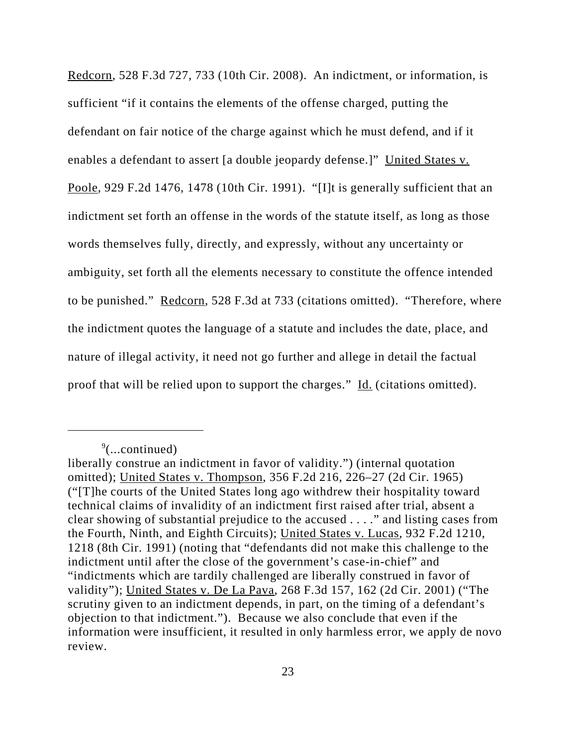Redcorn, 528 F.3d 727, 733 (10th Cir. 2008). An indictment, or information, is sufficient "if it contains the elements of the offense charged, putting the defendant on fair notice of the charge against which he must defend, and if it enables a defendant to assert [a double jeopardy defense.]" United States v. Poole, 929 F.2d 1476, 1478 (10th Cir. 1991). "[I]t is generally sufficient that an indictment set forth an offense in the words of the statute itself, as long as those words themselves fully, directly, and expressly, without any uncertainty or ambiguity, set forth all the elements necessary to constitute the offence intended to be punished." Redcorn, 528 F.3d at 733 (citations omitted). "Therefore, where the indictment quotes the language of a statute and includes the date, place, and nature of illegal activity, it need not go further and allege in detail the factual proof that will be relied upon to support the charges." Id. (citations omitted).

 $\sqrt[9]{$ ...continued)

liberally construe an indictment in favor of validity.") (internal quotation omitted); United States v. Thompson, 356 F.2d 216, 226–27 (2d Cir. 1965) ("[T]he courts of the United States long ago withdrew their hospitality toward technical claims of invalidity of an indictment first raised after trial, absent a clear showing of substantial prejudice to the accused . . . ." and listing cases from the Fourth, Ninth, and Eighth Circuits); United States v. Lucas, 932 F.2d 1210, 1218 (8th Cir. 1991) (noting that "defendants did not make this challenge to the indictment until after the close of the government's case-in-chief" and "indictments which are tardily challenged are liberally construed in favor of validity"); United States v. De La Pava, 268 F.3d 157, 162 (2d Cir. 2001) ("The scrutiny given to an indictment depends, in part, on the timing of a defendant's objection to that indictment."). Because we also conclude that even if the information were insufficient, it resulted in only harmless error, we apply de novo review.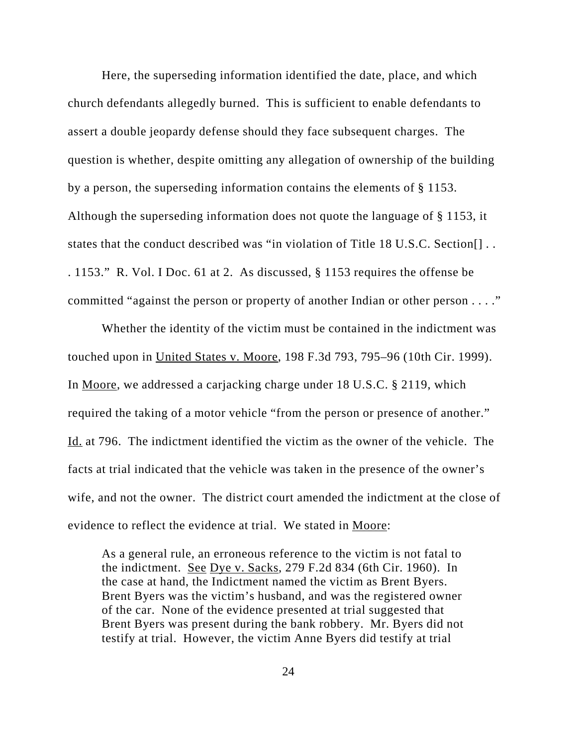Here, the superseding information identified the date, place, and which church defendants allegedly burned. This is sufficient to enable defendants to assert a double jeopardy defense should they face subsequent charges. The question is whether, despite omitting any allegation of ownership of the building by a person, the superseding information contains the elements of § 1153. Although the superseding information does not quote the language of § 1153, it states that the conduct described was "in violation of Title 18 U.S.C. Section[] . . . 1153." R. Vol. I Doc. 61 at 2. As discussed, § 1153 requires the offense be committed "against the person or property of another Indian or other person . . . ."

Whether the identity of the victim must be contained in the indictment was touched upon in United States v. Moore, 198 F.3d 793, 795–96 (10th Cir. 1999). In Moore, we addressed a carjacking charge under 18 U.S.C. § 2119, which required the taking of a motor vehicle "from the person or presence of another." Id. at 796. The indictment identified the victim as the owner of the vehicle. The facts at trial indicated that the vehicle was taken in the presence of the owner's wife, and not the owner. The district court amended the indictment at the close of evidence to reflect the evidence at trial. We stated in Moore:

As a general rule, an erroneous reference to the victim is not fatal to the indictment. See Dye v. Sacks, 279 F.2d 834 (6th Cir. 1960). In the case at hand, the Indictment named the victim as Brent Byers. Brent Byers was the victim's husband, and was the registered owner of the car. None of the evidence presented at trial suggested that Brent Byers was present during the bank robbery. Mr. Byers did not testify at trial. However, the victim Anne Byers did testify at trial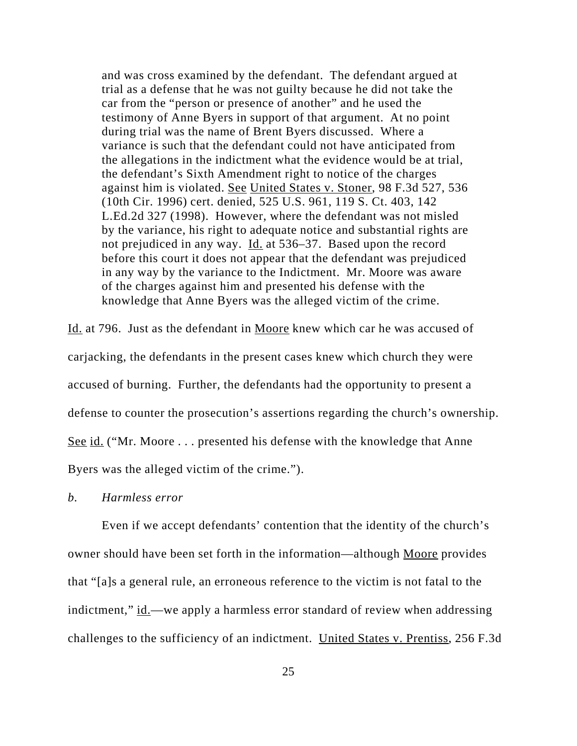and was cross examined by the defendant. The defendant argued at trial as a defense that he was not guilty because he did not take the car from the "person or presence of another" and he used the testimony of Anne Byers in support of that argument. At no point during trial was the name of Brent Byers discussed. Where a variance is such that the defendant could not have anticipated from the allegations in the indictment what the evidence would be at trial, the defendant's Sixth Amendment right to notice of the charges against him is violated. See United States v. Stoner, 98 F.3d 527, 536 (10th Cir. 1996) cert. denied, 525 U.S. 961, 119 S. Ct. 403, 142 L.Ed.2d 327 (1998). However, where the defendant was not misled by the variance, his right to adequate notice and substantial rights are not prejudiced in any way. Id. at 536–37. Based upon the record before this court it does not appear that the defendant was prejudiced in any way by the variance to the Indictment. Mr. Moore was aware of the charges against him and presented his defense with the knowledge that Anne Byers was the alleged victim of the crime.

Id. at 796. Just as the defendant in Moore knew which car he was accused of carjacking, the defendants in the present cases knew which church they were accused of burning. Further, the defendants had the opportunity to present a defense to counter the prosecution's assertions regarding the church's ownership. See id. ("Mr. Moore . . . presented his defense with the knowledge that Anne Byers was the alleged victim of the crime.").

### *b. Harmless error*

Even if we accept defendants' contention that the identity of the church's owner should have been set forth in the information—although Moore provides that "[a]s a general rule, an erroneous reference to the victim is not fatal to the indictment," id.—we apply a harmless error standard of review when addressing challenges to the sufficiency of an indictment. United States v. Prentiss, 256 F.3d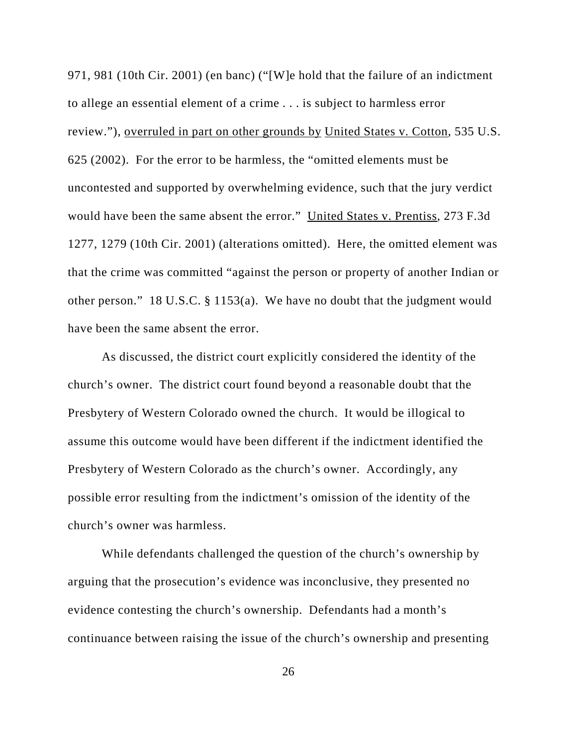971, 981 (10th Cir. 2001) (en banc) ("[W]e hold that the failure of an indictment to allege an essential element of a crime . . . is subject to harmless error review."), overruled in part on other grounds by United States v. Cotton, 535 U.S. 625 (2002). For the error to be harmless, the "omitted elements must be uncontested and supported by overwhelming evidence, such that the jury verdict would have been the same absent the error." United States v. Prentiss, 273 F.3d 1277, 1279 (10th Cir. 2001) (alterations omitted). Here, the omitted element was that the crime was committed "against the person or property of another Indian or other person." 18 U.S.C. § 1153(a). We have no doubt that the judgment would have been the same absent the error.

As discussed, the district court explicitly considered the identity of the church's owner. The district court found beyond a reasonable doubt that the Presbytery of Western Colorado owned the church. It would be illogical to assume this outcome would have been different if the indictment identified the Presbytery of Western Colorado as the church's owner. Accordingly, any possible error resulting from the indictment's omission of the identity of the church's owner was harmless.

While defendants challenged the question of the church's ownership by arguing that the prosecution's evidence was inconclusive, they presented no evidence contesting the church's ownership. Defendants had a month's continuance between raising the issue of the church's ownership and presenting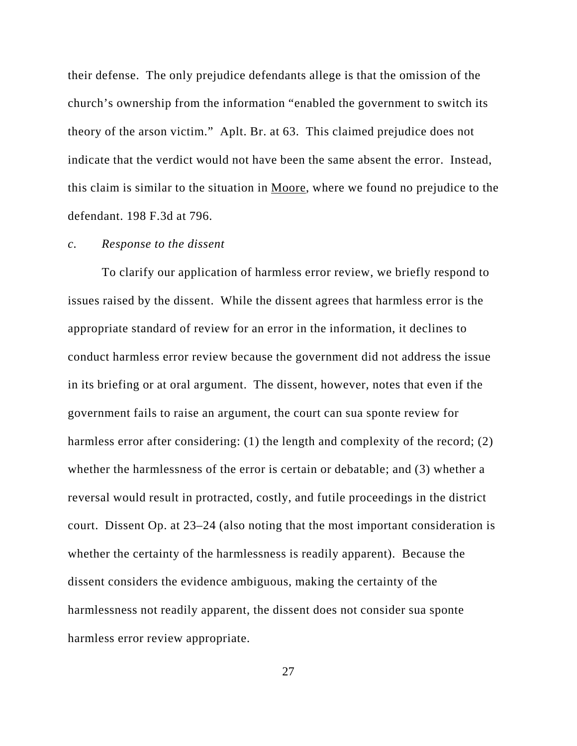their defense. The only prejudice defendants allege is that the omission of the church's ownership from the information "enabled the government to switch its theory of the arson victim." Aplt. Br. at 63. This claimed prejudice does not indicate that the verdict would not have been the same absent the error. Instead, this claim is similar to the situation in Moore, where we found no prejudice to the defendant. 198 F.3d at 796.

#### *c. Response to the dissent*

To clarify our application of harmless error review, we briefly respond to issues raised by the dissent. While the dissent agrees that harmless error is the appropriate standard of review for an error in the information, it declines to conduct harmless error review because the government did not address the issue in its briefing or at oral argument. The dissent, however, notes that even if the government fails to raise an argument, the court can sua sponte review for harmless error after considering: (1) the length and complexity of the record; (2) whether the harmlessness of the error is certain or debatable; and (3) whether a reversal would result in protracted, costly, and futile proceedings in the district court. Dissent Op. at 23–24 (also noting that the most important consideration is whether the certainty of the harmlessness is readily apparent). Because the dissent considers the evidence ambiguous, making the certainty of the harmlessness not readily apparent, the dissent does not consider sua sponte harmless error review appropriate.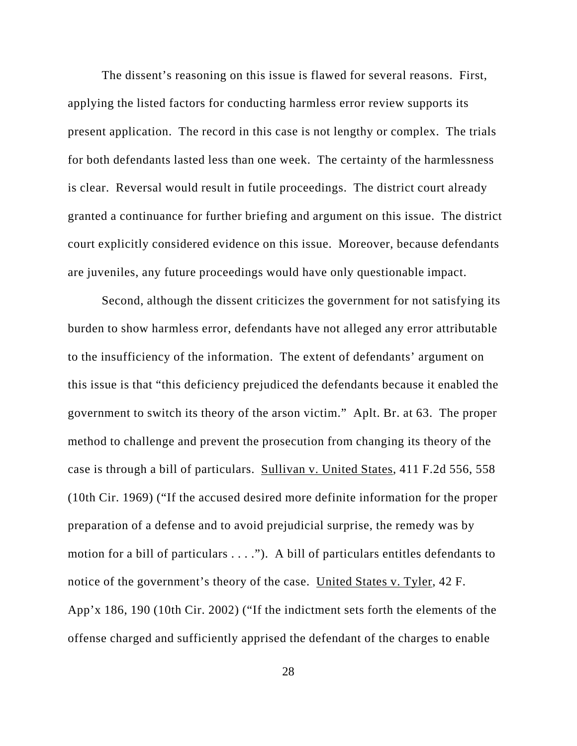The dissent's reasoning on this issue is flawed for several reasons. First, applying the listed factors for conducting harmless error review supports its present application. The record in this case is not lengthy or complex. The trials for both defendants lasted less than one week. The certainty of the harmlessness is clear. Reversal would result in futile proceedings. The district court already granted a continuance for further briefing and argument on this issue. The district court explicitly considered evidence on this issue. Moreover, because defendants are juveniles, any future proceedings would have only questionable impact.

Second, although the dissent criticizes the government for not satisfying its burden to show harmless error, defendants have not alleged any error attributable to the insufficiency of the information. The extent of defendants' argument on this issue is that "this deficiency prejudiced the defendants because it enabled the government to switch its theory of the arson victim." Aplt. Br. at 63. The proper method to challenge and prevent the prosecution from changing its theory of the case is through a bill of particulars. Sullivan v. United States, 411 F.2d 556, 558 (10th Cir. 1969) ("If the accused desired more definite information for the proper preparation of a defense and to avoid prejudicial surprise, the remedy was by motion for a bill of particulars . . . ."). A bill of particulars entitles defendants to notice of the government's theory of the case. United States v. Tyler, 42 F. App'x 186, 190 (10th Cir. 2002) ("If the indictment sets forth the elements of the offense charged and sufficiently apprised the defendant of the charges to enable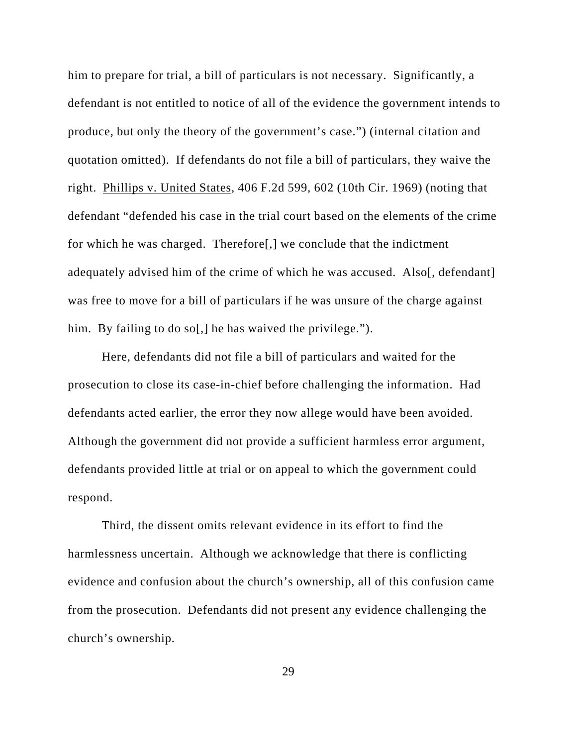him to prepare for trial, a bill of particulars is not necessary. Significantly, a defendant is not entitled to notice of all of the evidence the government intends to produce, but only the theory of the government's case.") (internal citation and quotation omitted). If defendants do not file a bill of particulars, they waive the right. Phillips v. United States, 406 F.2d 599, 602 (10th Cir. 1969) (noting that defendant "defended his case in the trial court based on the elements of the crime for which he was charged. Therefore[,] we conclude that the indictment adequately advised him of the crime of which he was accused. Also[, defendant] was free to move for a bill of particulars if he was unsure of the charge against him. By failing to do so[,] he has waived the privilege.").

Here, defendants did not file a bill of particulars and waited for the prosecution to close its case-in-chief before challenging the information. Had defendants acted earlier, the error they now allege would have been avoided. Although the government did not provide a sufficient harmless error argument, defendants provided little at trial or on appeal to which the government could respond.

Third, the dissent omits relevant evidence in its effort to find the harmlessness uncertain. Although we acknowledge that there is conflicting evidence and confusion about the church's ownership, all of this confusion came from the prosecution. Defendants did not present any evidence challenging the church's ownership.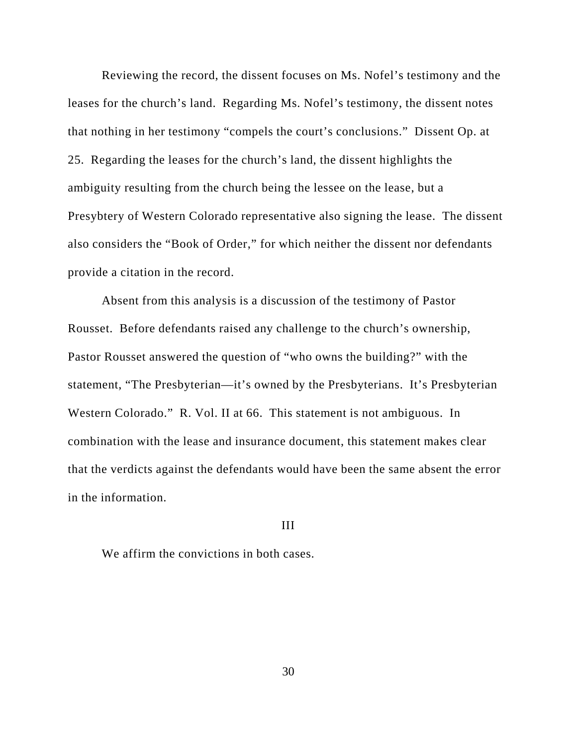Reviewing the record, the dissent focuses on Ms. Nofel's testimony and the leases for the church's land. Regarding Ms. Nofel's testimony, the dissent notes that nothing in her testimony "compels the court's conclusions." Dissent Op. at 25. Regarding the leases for the church's land, the dissent highlights the ambiguity resulting from the church being the lessee on the lease, but a Presybtery of Western Colorado representative also signing the lease. The dissent also considers the "Book of Order," for which neither the dissent nor defendants provide a citation in the record.

Absent from this analysis is a discussion of the testimony of Pastor Rousset. Before defendants raised any challenge to the church's ownership, Pastor Rousset answered the question of "who owns the building?" with the statement, "The Presbyterian—it's owned by the Presbyterians. It's Presbyterian Western Colorado." R. Vol. II at 66. This statement is not ambiguous. In combination with the lease and insurance document, this statement makes clear that the verdicts against the defendants would have been the same absent the error in the information.

#### III

We affirm the convictions in both cases.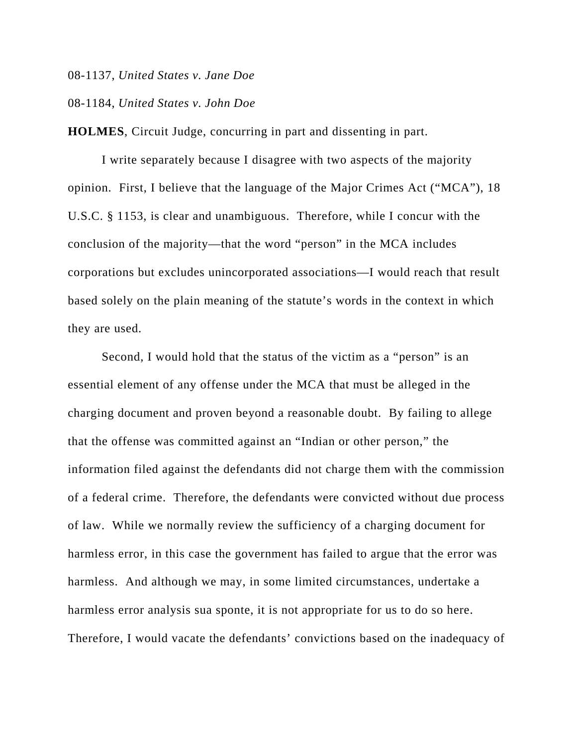08-1137, *United States v. Jane Doe*

## 08-1184, *United States v. John Doe*

**HOLMES**, Circuit Judge, concurring in part and dissenting in part.

I write separately because I disagree with two aspects of the majority opinion. First, I believe that the language of the Major Crimes Act ("MCA"), 18 U.S.C. § 1153, is clear and unambiguous. Therefore, while I concur with the conclusion of the majority—that the word "person" in the MCA includes corporations but excludes unincorporated associations—I would reach that result based solely on the plain meaning of the statute's words in the context in which they are used.

Second, I would hold that the status of the victim as a "person" is an essential element of any offense under the MCA that must be alleged in the charging document and proven beyond a reasonable doubt. By failing to allege that the offense was committed against an "Indian or other person," the information filed against the defendants did not charge them with the commission of a federal crime. Therefore, the defendants were convicted without due process of law. While we normally review the sufficiency of a charging document for harmless error, in this case the government has failed to argue that the error was harmless. And although we may, in some limited circumstances, undertake a harmless error analysis sua sponte, it is not appropriate for us to do so here. Therefore, I would vacate the defendants' convictions based on the inadequacy of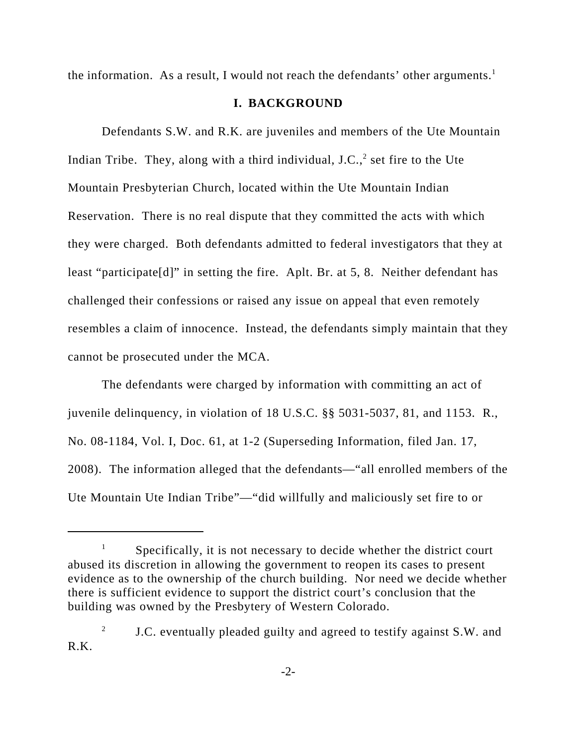the information. As a result, I would not reach the defendants' other arguments.<sup>1</sup>

## **I. BACKGROUND**

Defendants S.W. and R.K. are juveniles and members of the Ute Mountain Indian Tribe. They, along with a third individual, J.C., $^2$  set fire to the Ute Mountain Presbyterian Church, located within the Ute Mountain Indian Reservation. There is no real dispute that they committed the acts with which they were charged. Both defendants admitted to federal investigators that they at least "participate[d]" in setting the fire. Aplt. Br. at 5, 8. Neither defendant has challenged their confessions or raised any issue on appeal that even remotely resembles a claim of innocence. Instead, the defendants simply maintain that they cannot be prosecuted under the MCA.

The defendants were charged by information with committing an act of juvenile delinquency, in violation of 18 U.S.C. §§ 5031-5037, 81, and 1153. R., No. 08-1184, Vol. I, Doc. 61, at 1-2 (Superseding Information, filed Jan. 17, 2008). The information alleged that the defendants—"all enrolled members of the Ute Mountain Ute Indian Tribe"—"did willfully and maliciously set fire to or

 $1$  Specifically, it is not necessary to decide whether the district court abused its discretion in allowing the government to reopen its cases to present evidence as to the ownership of the church building. Nor need we decide whether there is sufficient evidence to support the district court's conclusion that the building was owned by the Presbytery of Western Colorado.

<sup>&</sup>lt;sup>2</sup> J.C. eventually pleaded guilty and agreed to testify against S.W. and R.K.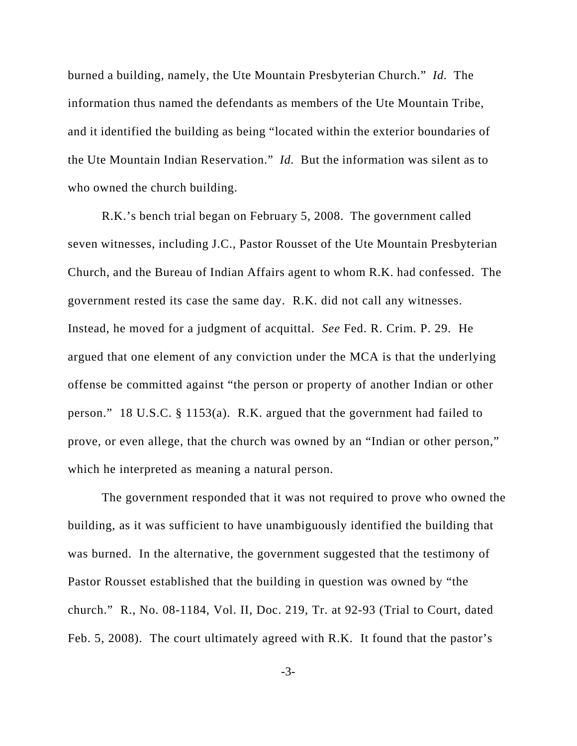burned a building, namely, the Ute Mountain Presbyterian Church." *Id.* The information thus named the defendants as members of the Ute Mountain Tribe, and it identified the building as being "located within the exterior boundaries of the Ute Mountain Indian Reservation." *Id.* But the information was silent as to who owned the church building.

R.K.'s bench trial began on February 5, 2008. The government called seven witnesses, including J.C., Pastor Rousset of the Ute Mountain Presbyterian Church, and the Bureau of Indian Affairs agent to whom R.K. had confessed. The government rested its case the same day. R.K. did not call any witnesses. Instead, he moved for a judgment of acquittal. *See* Fed. R. Crim. P. 29. He argued that one element of any conviction under the MCA is that the underlying offense be committed against "the person or property of another Indian or other person." 18 U.S.C. § 1153(a). R.K. argued that the government had failed to prove, or even allege, that the church was owned by an "Indian or other person," which he interpreted as meaning a natural person.

The government responded that it was not required to prove who owned the building, as it was sufficient to have unambiguously identified the building that was burned. In the alternative, the government suggested that the testimony of Pastor Rousset established that the building in question was owned by "the church." R., No. 08-1184, Vol. II, Doc. 219, Tr. at 92-93 (Trial to Court, dated Feb. 5, 2008). The court ultimately agreed with R.K. It found that the pastor's

-3-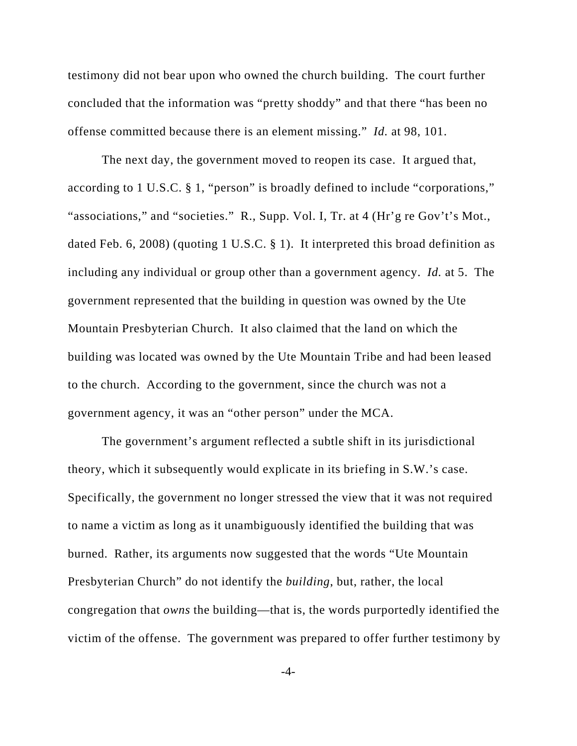testimony did not bear upon who owned the church building. The court further concluded that the information was "pretty shoddy" and that there "has been no offense committed because there is an element missing." *Id.* at 98, 101.

The next day, the government moved to reopen its case. It argued that, according to 1 U.S.C. § 1, "person" is broadly defined to include "corporations," "associations," and "societies." R., Supp. Vol. I, Tr. at 4 (Hr'g re Gov't's Mot., dated Feb. 6, 2008) (quoting 1 U.S.C. § 1). It interpreted this broad definition as including any individual or group other than a government agency. *Id.* at 5. The government represented that the building in question was owned by the Ute Mountain Presbyterian Church. It also claimed that the land on which the building was located was owned by the Ute Mountain Tribe and had been leased to the church. According to the government, since the church was not a government agency, it was an "other person" under the MCA.

The government's argument reflected a subtle shift in its jurisdictional theory, which it subsequently would explicate in its briefing in S.W.'s case. Specifically, the government no longer stressed the view that it was not required to name a victim as long as it unambiguously identified the building that was burned. Rather, its arguments now suggested that the words "Ute Mountain Presbyterian Church" do not identify the *building*, but, rather, the local congregation that *owns* the building—that is, the words purportedly identified the victim of the offense. The government was prepared to offer further testimony by

-4-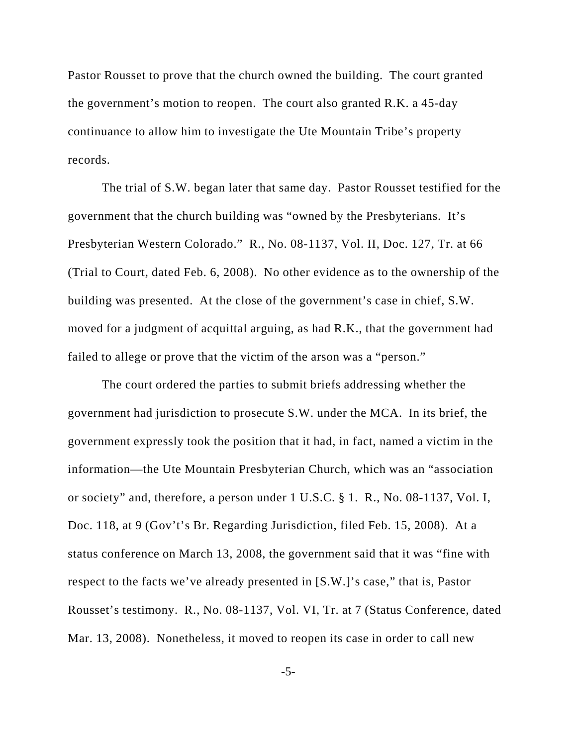Pastor Rousset to prove that the church owned the building. The court granted the government's motion to reopen. The court also granted R.K. a 45-day continuance to allow him to investigate the Ute Mountain Tribe's property records.

The trial of S.W. began later that same day. Pastor Rousset testified for the government that the church building was "owned by the Presbyterians. It's Presbyterian Western Colorado." R., No. 08-1137, Vol. II, Doc. 127, Tr. at 66 (Trial to Court, dated Feb. 6, 2008). No other evidence as to the ownership of the building was presented. At the close of the government's case in chief, S.W. moved for a judgment of acquittal arguing, as had R.K., that the government had failed to allege or prove that the victim of the arson was a "person."

The court ordered the parties to submit briefs addressing whether the government had jurisdiction to prosecute S.W. under the MCA. In its brief, the government expressly took the position that it had, in fact, named a victim in the information—the Ute Mountain Presbyterian Church, which was an "association or society" and, therefore, a person under 1 U.S.C. § 1. R., No. 08-1137, Vol. I, Doc. 118, at 9 (Gov't's Br. Regarding Jurisdiction, filed Feb. 15, 2008). At a status conference on March 13, 2008, the government said that it was "fine with respect to the facts we've already presented in [S.W.]'s case," that is, Pastor Rousset's testimony. R., No. 08-1137, Vol. VI, Tr. at 7 (Status Conference, dated Mar. 13, 2008). Nonetheless, it moved to reopen its case in order to call new

-5-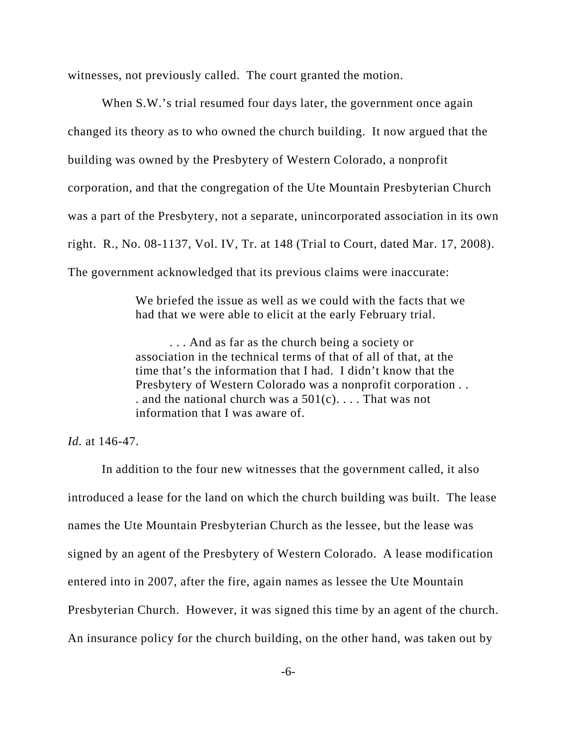witnesses, not previously called. The court granted the motion.

When S.W.'s trial resumed four days later, the government once again changed its theory as to who owned the church building. It now argued that the building was owned by the Presbytery of Western Colorado, a nonprofit corporation, and that the congregation of the Ute Mountain Presbyterian Church was a part of the Presbytery, not a separate, unincorporated association in its own right. R., No. 08-1137, Vol. IV, Tr. at 148 (Trial to Court, dated Mar. 17, 2008). The government acknowledged that its previous claims were inaccurate:

> We briefed the issue as well as we could with the facts that we had that we were able to elicit at the early February trial.

. . . And as far as the church being a society or association in the technical terms of that of all of that, at the time that's the information that I had. I didn't know that the Presbytery of Western Colorado was a nonprofit corporation . . . and the national church was a  $501(c)$ .... That was not information that I was aware of.

*Id.* at 146-47.

In addition to the four new witnesses that the government called, it also introduced a lease for the land on which the church building was built. The lease names the Ute Mountain Presbyterian Church as the lessee, but the lease was signed by an agent of the Presbytery of Western Colorado. A lease modification entered into in 2007, after the fire, again names as lessee the Ute Mountain Presbyterian Church. However, it was signed this time by an agent of the church. An insurance policy for the church building, on the other hand, was taken out by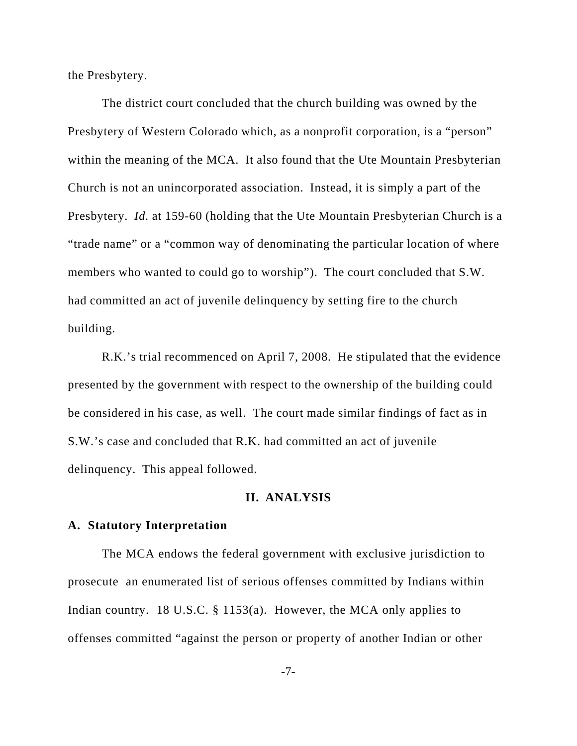the Presbytery.

The district court concluded that the church building was owned by the Presbytery of Western Colorado which, as a nonprofit corporation, is a "person" within the meaning of the MCA. It also found that the Ute Mountain Presbyterian Church is not an unincorporated association. Instead, it is simply a part of the Presbytery. *Id.* at 159-60 (holding that the Ute Mountain Presbyterian Church is a "trade name" or a "common way of denominating the particular location of where members who wanted to could go to worship"). The court concluded that S.W. had committed an act of juvenile delinquency by setting fire to the church building.

R.K.'s trial recommenced on April 7, 2008. He stipulated that the evidence presented by the government with respect to the ownership of the building could be considered in his case, as well. The court made similar findings of fact as in S.W.'s case and concluded that R.K. had committed an act of juvenile delinquency. This appeal followed.

## **II. ANALYSIS**

## **A. Statutory Interpretation**

The MCA endows the federal government with exclusive jurisdiction to prosecute an enumerated list of serious offenses committed by Indians within Indian country. 18 U.S.C. § 1153(a). However, the MCA only applies to offenses committed "against the person or property of another Indian or other

-7-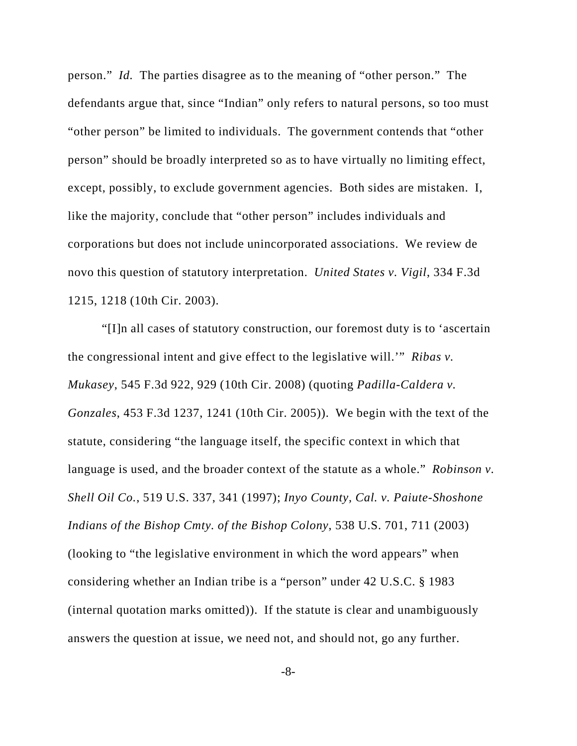person." *Id.* The parties disagree as to the meaning of "other person." The defendants argue that, since "Indian" only refers to natural persons, so too must "other person" be limited to individuals. The government contends that "other person" should be broadly interpreted so as to have virtually no limiting effect, except, possibly, to exclude government agencies. Both sides are mistaken. I, like the majority, conclude that "other person" includes individuals and corporations but does not include unincorporated associations. We review de novo this question of statutory interpretation. *United States v. Vigil*, 334 F.3d 1215, 1218 (10th Cir. 2003).

"[I]n all cases of statutory construction, our foremost duty is to 'ascertain the congressional intent and give effect to the legislative will.'" *Ribas v. Mukasey*, 545 F.3d 922, 929 (10th Cir. 2008) (quoting *Padilla-Caldera v. Gonzales*, 453 F.3d 1237, 1241 (10th Cir. 2005)). We begin with the text of the statute, considering "the language itself, the specific context in which that language is used, and the broader context of the statute as a whole." *Robinson v. Shell Oil Co.*, 519 U.S. 337, 341 (1997); *Inyo County, Cal. v. Paiute-Shoshone Indians of the Bishop Cmty. of the Bishop Colony*, 538 U.S. 701, 711 (2003) (looking to "the legislative environment in which the word appears" when considering whether an Indian tribe is a "person" under 42 U.S.C. § 1983 (internal quotation marks omitted)). If the statute is clear and unambiguously answers the question at issue, we need not, and should not, go any further.

-8-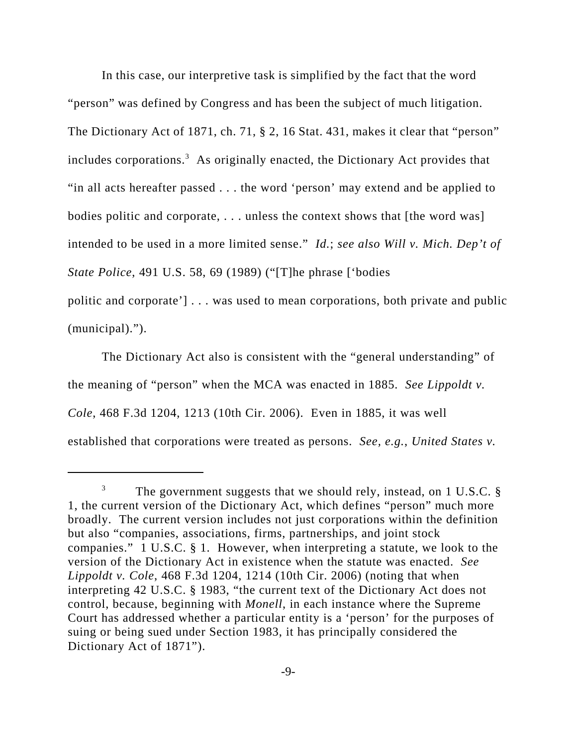In this case, our interpretive task is simplified by the fact that the word "person" was defined by Congress and has been the subject of much litigation. The Dictionary Act of 1871, ch. 71, § 2, 16 Stat. 431, makes it clear that "person" includes corporations.<sup>3</sup> As originally enacted, the Dictionary Act provides that "in all acts hereafter passed . . . the word 'person' may extend and be applied to bodies politic and corporate, . . . unless the context shows that [the word was] intended to be used in a more limited sense." *Id.*; *see also Will v. Mich. Dep't of State Police*, 491 U.S. 58, 69 (1989) ("[T]he phrase ['bodies

politic and corporate'] . . . was used to mean corporations, both private and public (municipal).").

The Dictionary Act also is consistent with the "general understanding" of the meaning of "person" when the MCA was enacted in 1885. *See Lippoldt v. Cole*, 468 F.3d 1204, 1213 (10th Cir. 2006). Even in 1885, it was well established that corporations were treated as persons. *See, e.g.*, *United States v.*

 $3$  The government suggests that we should rely, instead, on 1 U.S.C. § 1, the current version of the Dictionary Act, which defines "person" much more broadly. The current version includes not just corporations within the definition but also "companies, associations, firms, partnerships, and joint stock companies." 1 U.S.C. § 1. However, when interpreting a statute, we look to the version of the Dictionary Act in existence when the statute was enacted. *See Lippoldt v. Cole*, 468 F.3d 1204, 1214 (10th Cir. 2006) (noting that when interpreting 42 U.S.C. § 1983, "the current text of the Dictionary Act does not control, because, beginning with *Monell*, in each instance where the Supreme Court has addressed whether a particular entity is a 'person' for the purposes of suing or being sued under Section 1983, it has principally considered the Dictionary Act of 1871").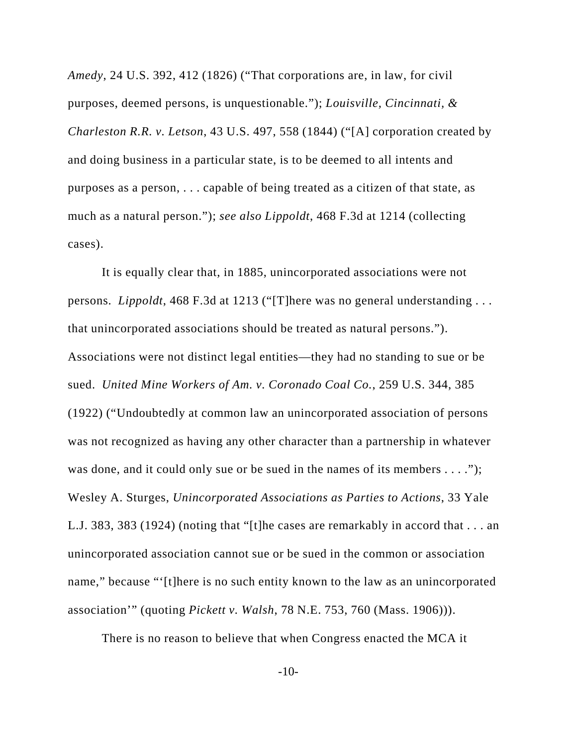*Amedy*, 24 U.S. 392, 412 (1826) ("That corporations are, in law, for civil purposes, deemed persons, is unquestionable."); *Louisville, Cincinnati, & Charleston R.R. v. Letson*, 43 U.S. 497, 558 (1844) ("[A] corporation created by and doing business in a particular state, is to be deemed to all intents and purposes as a person, . . . capable of being treated as a citizen of that state, as much as a natural person."); *see also Lippoldt*, 468 F.3d at 1214 (collecting cases).

It is equally clear that, in 1885, unincorporated associations were not persons. *Lippoldt*, 468 F.3d at 1213 ("[T]here was no general understanding . . . that unincorporated associations should be treated as natural persons."). Associations were not distinct legal entities—they had no standing to sue or be sued. *United Mine Workers of Am. v. Coronado Coal Co.*, 259 U.S. 344, 385 (1922) ("Undoubtedly at common law an unincorporated association of persons was not recognized as having any other character than a partnership in whatever was done, and it could only sue or be sued in the names of its members  $\dots$ ."); Wesley A. Sturges, *Unincorporated Associations as Parties to Actions*, 33 Yale L.J. 383, 383 (1924) (noting that "[t]he cases are remarkably in accord that . . . an unincorporated association cannot sue or be sued in the common or association name," because "'[t]here is no such entity known to the law as an unincorporated association'" (quoting *Pickett v. Walsh*, 78 N.E. 753, 760 (Mass. 1906))).

There is no reason to believe that when Congress enacted the MCA it

-10-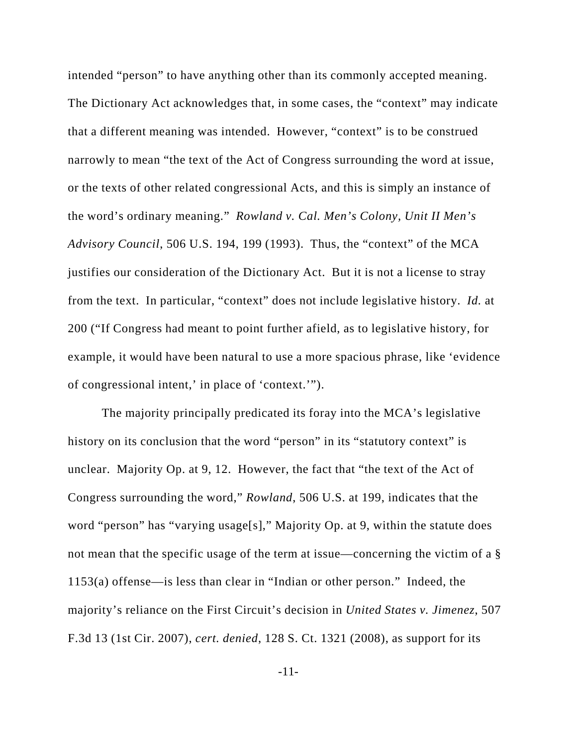intended "person" to have anything other than its commonly accepted meaning. The Dictionary Act acknowledges that, in some cases, the "context" may indicate that a different meaning was intended. However, "context" is to be construed narrowly to mean "the text of the Act of Congress surrounding the word at issue, or the texts of other related congressional Acts, and this is simply an instance of the word's ordinary meaning." *Rowland v. Cal. Men's Colony, Unit II Men's Advisory Council*, 506 U.S. 194, 199 (1993). Thus, the "context" of the MCA justifies our consideration of the Dictionary Act. But it is not a license to stray from the text. In particular, "context" does not include legislative history. *Id.* at 200 ("If Congress had meant to point further afield, as to legislative history, for example, it would have been natural to use a more spacious phrase, like 'evidence of congressional intent,' in place of 'context.'").

The majority principally predicated its foray into the MCA's legislative history on its conclusion that the word "person" in its "statutory context" is unclear. Majority Op. at 9, 12. However, the fact that "the text of the Act of Congress surrounding the word," *Rowland*, 506 U.S. at 199, indicates that the word "person" has "varying usage[s]," Majority Op. at 9, within the statute does not mean that the specific usage of the term at issue—concerning the victim of a § 1153(a) offense—is less than clear in "Indian or other person." Indeed, the majority's reliance on the First Circuit's decision in *United States v. Jimenez*, 507 F.3d 13 (1st Cir. 2007), *cert. denied*, 128 S. Ct. 1321 (2008), as support for its

-11-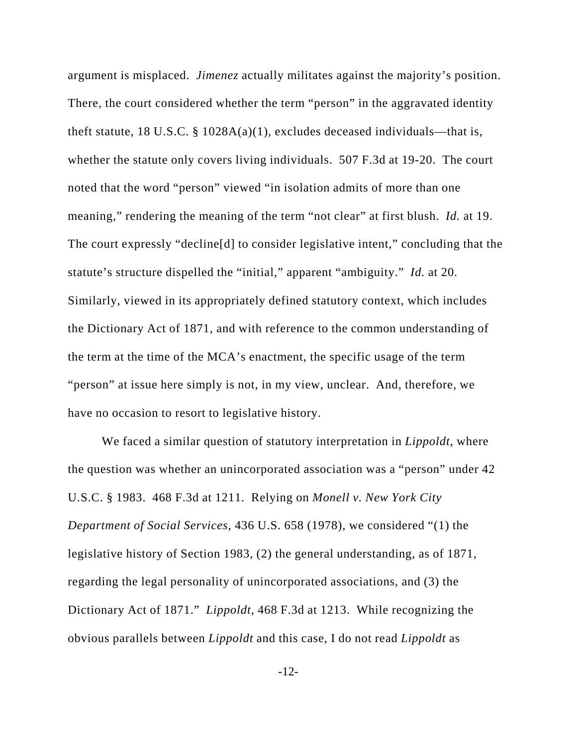argument is misplaced. *Jimenez* actually militates against the majority's position. There, the court considered whether the term "person" in the aggravated identity theft statute, 18 U.S.C.  $\S$  1028A(a)(1), excludes deceased individuals—that is, whether the statute only covers living individuals. 507 F.3d at 19-20. The court noted that the word "person" viewed "in isolation admits of more than one meaning," rendering the meaning of the term "not clear" at first blush. *Id.* at 19. The court expressly "decline[d] to consider legislative intent," concluding that the statute's structure dispelled the "initial," apparent "ambiguity." *Id.* at 20. Similarly, viewed in its appropriately defined statutory context, which includes the Dictionary Act of 1871, and with reference to the common understanding of the term at the time of the MCA's enactment, the specific usage of the term "person" at issue here simply is not, in my view, unclear. And, therefore, we have no occasion to resort to legislative history.

We faced a similar question of statutory interpretation in *Lippoldt*, where the question was whether an unincorporated association was a "person" under 42 U.S.C. § 1983. 468 F.3d at 1211. Relying on *Monell v. New York City Department of Social Services*, 436 U.S. 658 (1978), we considered "(1) the legislative history of Section 1983, (2) the general understanding, as of 1871, regarding the legal personality of unincorporated associations, and (3) the Dictionary Act of 1871." *Lippoldt*, 468 F.3d at 1213. While recognizing the obvious parallels between *Lippoldt* and this case, I do not read *Lippoldt* as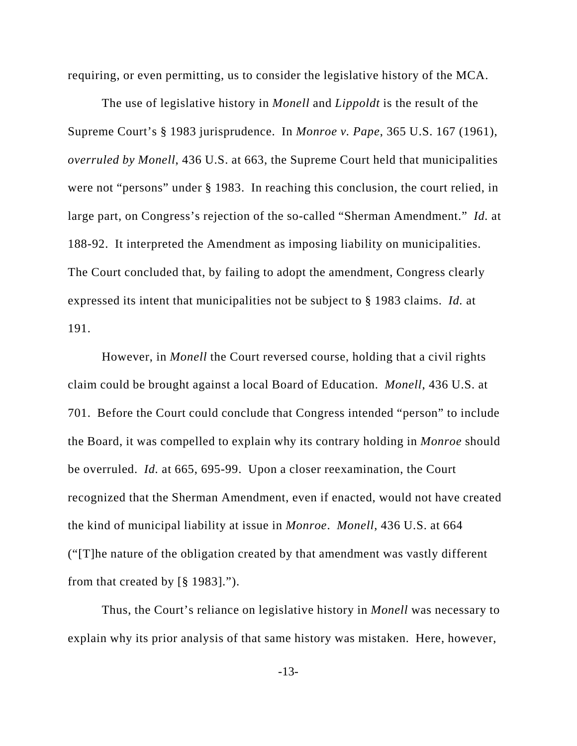requiring, or even permitting, us to consider the legislative history of the MCA.

The use of legislative history in *Monell* and *Lippoldt* is the result of the Supreme Court's § 1983 jurisprudence. In *Monroe v. Pape*, 365 U.S. 167 (1961), *overruled by Monell*, 436 U.S. at 663, the Supreme Court held that municipalities were not "persons" under § 1983. In reaching this conclusion, the court relied, in large part, on Congress's rejection of the so-called "Sherman Amendment." *Id.* at 188-92. It interpreted the Amendment as imposing liability on municipalities. The Court concluded that, by failing to adopt the amendment, Congress clearly expressed its intent that municipalities not be subject to § 1983 claims. *Id.* at 191.

However, in *Monell* the Court reversed course, holding that a civil rights claim could be brought against a local Board of Education. *Monell*, 436 U.S. at 701. Before the Court could conclude that Congress intended "person" to include the Board, it was compelled to explain why its contrary holding in *Monroe* should be overruled. *Id.* at 665, 695-99. Upon a closer reexamination, the Court recognized that the Sherman Amendment, even if enacted, would not have created the kind of municipal liability at issue in *Monroe*. *Monell*, 436 U.S. at 664 ("[T]he nature of the obligation created by that amendment was vastly different from that created by [§ 1983].").

Thus, the Court's reliance on legislative history in *Monell* was necessary to explain why its prior analysis of that same history was mistaken. Here, however,

-13-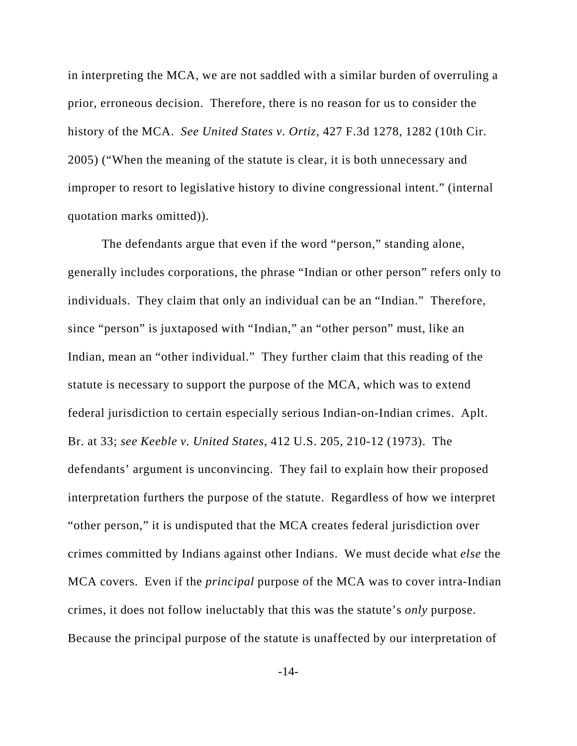in interpreting the MCA, we are not saddled with a similar burden of overruling a prior, erroneous decision. Therefore, there is no reason for us to consider the history of the MCA. *See United States v. Ortiz*, 427 F.3d 1278, 1282 (10th Cir. 2005) ("When the meaning of the statute is clear, it is both unnecessary and improper to resort to legislative history to divine congressional intent." (internal quotation marks omitted)).

The defendants argue that even if the word "person," standing alone, generally includes corporations, the phrase "Indian or other person" refers only to individuals. They claim that only an individual can be an "Indian." Therefore, since "person" is juxtaposed with "Indian," an "other person" must, like an Indian, mean an "other individual." They further claim that this reading of the statute is necessary to support the purpose of the MCA, which was to extend federal jurisdiction to certain especially serious Indian-on-Indian crimes. Aplt. Br. at 33; *see Keeble v. United States*, 412 U.S. 205, 210-12 (1973). The defendants' argument is unconvincing. They fail to explain how their proposed interpretation furthers the purpose of the statute. Regardless of how we interpret "other person," it is undisputed that the MCA creates federal jurisdiction over crimes committed by Indians against other Indians. We must decide what *else* the MCA covers. Even if the *principal* purpose of the MCA was to cover intra-Indian crimes, it does not follow ineluctably that this was the statute's *only* purpose. Because the principal purpose of the statute is unaffected by our interpretation of

-14-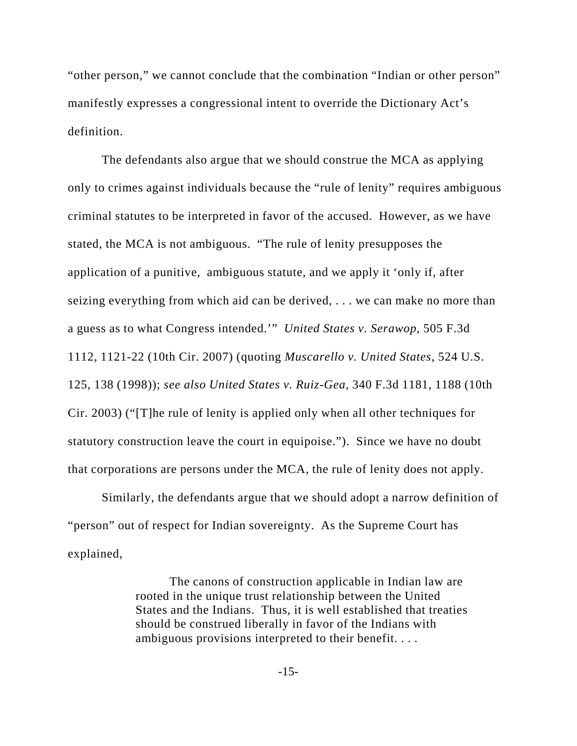"other person," we cannot conclude that the combination "Indian or other person" manifestly expresses a congressional intent to override the Dictionary Act's definition.

The defendants also argue that we should construe the MCA as applying only to crimes against individuals because the "rule of lenity" requires ambiguous criminal statutes to be interpreted in favor of the accused. However, as we have stated, the MCA is not ambiguous. "The rule of lenity presupposes the application of a punitive, ambiguous statute, and we apply it 'only if, after seizing everything from which aid can be derived, . . . we can make no more than a guess as to what Congress intended.'" *United States v. Serawop*, 505 F.3d 1112, 1121-22 (10th Cir. 2007) (quoting *Muscarello v. United States*, 524 U.S. 125, 138 (1998)); *see also United States v. Ruiz-Gea*, 340 F.3d 1181, 1188 (10th Cir. 2003) ("[T]he rule of lenity is applied only when all other techniques for statutory construction leave the court in equipoise."). Since we have no doubt that corporations are persons under the MCA, the rule of lenity does not apply.

Similarly, the defendants argue that we should adopt a narrow definition of "person" out of respect for Indian sovereignty. As the Supreme Court has explained,

> The canons of construction applicable in Indian law are rooted in the unique trust relationship between the United States and the Indians. Thus, it is well established that treaties should be construed liberally in favor of the Indians with ambiguous provisions interpreted to their benefit. . . .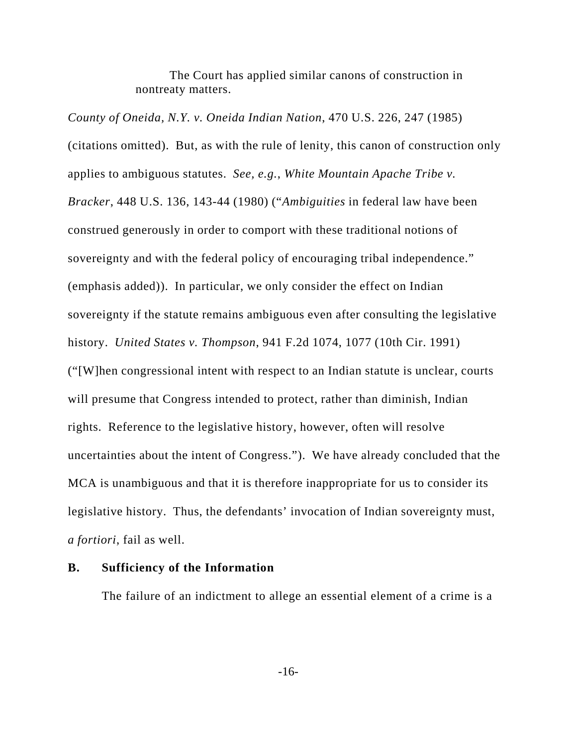The Court has applied similar canons of construction in nontreaty matters.

*County of Oneida, N.Y. v. Oneida Indian Nation*, 470 U.S. 226, 247 (1985) (citations omitted). But, as with the rule of lenity, this canon of construction only applies to ambiguous statutes. *See, e.g.*, *White Mountain Apache Tribe v. Bracker*, 448 U.S. 136, 143-44 (1980) ("*Ambiguities* in federal law have been construed generously in order to comport with these traditional notions of sovereignty and with the federal policy of encouraging tribal independence." (emphasis added)). In particular, we only consider the effect on Indian sovereignty if the statute remains ambiguous even after consulting the legislative history. *United States v. Thompson*, 941 F.2d 1074, 1077 (10th Cir. 1991) ("[W]hen congressional intent with respect to an Indian statute is unclear, courts will presume that Congress intended to protect, rather than diminish, Indian rights. Reference to the legislative history, however, often will resolve uncertainties about the intent of Congress."). We have already concluded that the MCA is unambiguous and that it is therefore inappropriate for us to consider its legislative history. Thus, the defendants' invocation of Indian sovereignty must, *a fortiori*, fail as well.

### **B. Sufficiency of the Information**

The failure of an indictment to allege an essential element of a crime is a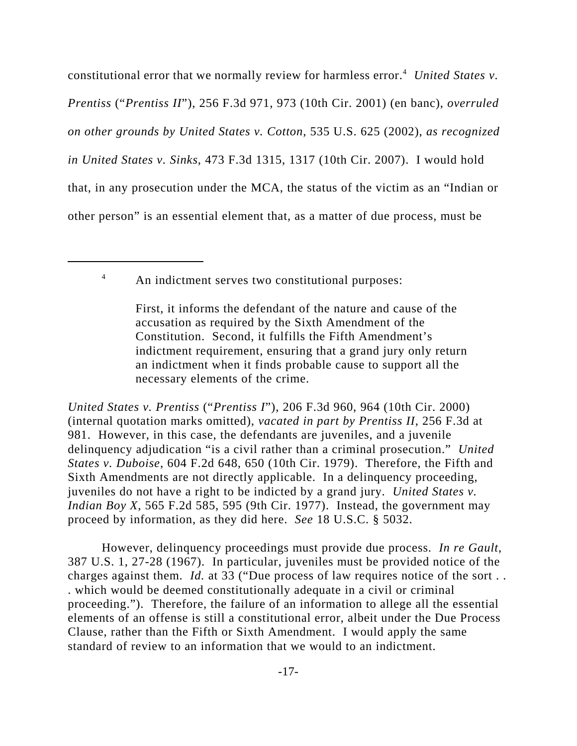constitutional error that we normally review for harmless error.<sup>4</sup> United States v. *Prentiss* ("*Prentiss II*"), 256 F.3d 971, 973 (10th Cir. 2001) (en banc), *overruled on other grounds by United States v. Cotton*, 535 U.S. 625 (2002), *as recognized in United States v. Sinks*, 473 F.3d 1315, 1317 (10th Cir. 2007). I would hold that, in any prosecution under the MCA, the status of the victim as an "Indian or other person" is an essential element that, as a matter of due process, must be

<sup>4</sup> An indictment serves two constitutional purposes:

*United States v. Prentiss* ("*Prentiss I*"), 206 F.3d 960, 964 (10th Cir. 2000) (internal quotation marks omitted), *vacated in part by Prentiss II*, 256 F.3d at 981. However, in this case, the defendants are juveniles, and a juvenile delinquency adjudication "is a civil rather than a criminal prosecution." *United States v. Duboise*, 604 F.2d 648, 650 (10th Cir. 1979). Therefore, the Fifth and Sixth Amendments are not directly applicable. In a delinquency proceeding, juveniles do not have a right to be indicted by a grand jury. *United States v. Indian Boy X*, 565 F.2d 585, 595 (9th Cir. 1977). Instead, the government may proceed by information, as they did here. *See* 18 U.S.C. § 5032.

However, delinquency proceedings must provide due process. *In re Gault*, 387 U.S. 1, 27-28 (1967). In particular, juveniles must be provided notice of the charges against them. *Id.* at 33 ("Due process of law requires notice of the sort... . which would be deemed constitutionally adequate in a civil or criminal proceeding."). Therefore, the failure of an information to allege all the essential elements of an offense is still a constitutional error, albeit under the Due Process Clause, rather than the Fifth or Sixth Amendment. I would apply the same standard of review to an information that we would to an indictment.

First, it informs the defendant of the nature and cause of the accusation as required by the Sixth Amendment of the Constitution. Second, it fulfills the Fifth Amendment's indictment requirement, ensuring that a grand jury only return an indictment when it finds probable cause to support all the necessary elements of the crime.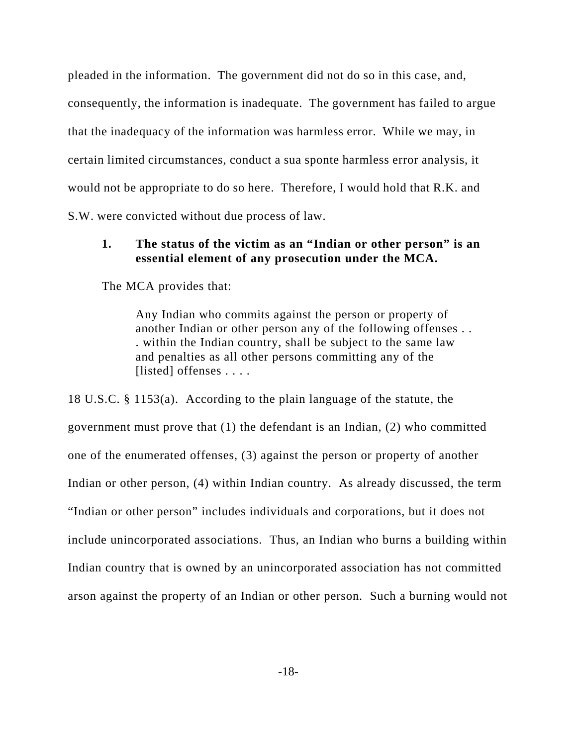pleaded in the information. The government did not do so in this case, and, consequently, the information is inadequate. The government has failed to argue that the inadequacy of the information was harmless error. While we may, in certain limited circumstances, conduct a sua sponte harmless error analysis, it would not be appropriate to do so here. Therefore, I would hold that R.K. and S.W. were convicted without due process of law.

# **1. The status of the victim as an "Indian or other person" is an essential element of any prosecution under the MCA.**

The MCA provides that:

Any Indian who commits against the person or property of another Indian or other person any of the following offenses . . . within the Indian country, shall be subject to the same law and penalties as all other persons committing any of the [listed] offenses . . . .

18 U.S.C. § 1153(a). According to the plain language of the statute, the government must prove that (1) the defendant is an Indian, (2) who committed one of the enumerated offenses, (3) against the person or property of another Indian or other person, (4) within Indian country. As already discussed, the term "Indian or other person" includes individuals and corporations, but it does not include unincorporated associations. Thus, an Indian who burns a building within Indian country that is owned by an unincorporated association has not committed arson against the property of an Indian or other person. Such a burning would not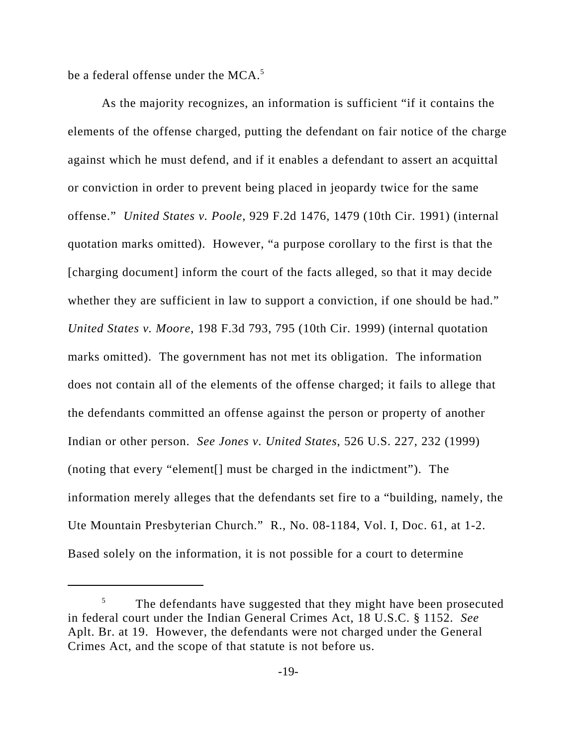be a federal offense under the  $MCA$ <sup>5</sup>

As the majority recognizes, an information is sufficient "if it contains the elements of the offense charged, putting the defendant on fair notice of the charge against which he must defend, and if it enables a defendant to assert an acquittal or conviction in order to prevent being placed in jeopardy twice for the same offense." *United States v. Poole*, 929 F.2d 1476, 1479 (10th Cir. 1991) (internal quotation marks omitted). However, "a purpose corollary to the first is that the [charging document] inform the court of the facts alleged, so that it may decide whether they are sufficient in law to support a conviction, if one should be had." *United States v. Moore*, 198 F.3d 793, 795 (10th Cir. 1999) (internal quotation marks omitted). The government has not met its obligation. The information does not contain all of the elements of the offense charged; it fails to allege that the defendants committed an offense against the person or property of another Indian or other person. *See Jones v. United States*, 526 U.S. 227, 232 (1999) (noting that every "element[] must be charged in the indictment"). The information merely alleges that the defendants set fire to a "building, namely, the Ute Mountain Presbyterian Church." R., No. 08-1184, Vol. I, Doc. 61, at 1-2. Based solely on the information, it is not possible for a court to determine

<sup>&</sup>lt;sup>5</sup> The defendants have suggested that they might have been prosecuted in federal court under the Indian General Crimes Act, 18 U.S.C. § 1152. *See* Aplt. Br. at 19. However, the defendants were not charged under the General Crimes Act, and the scope of that statute is not before us.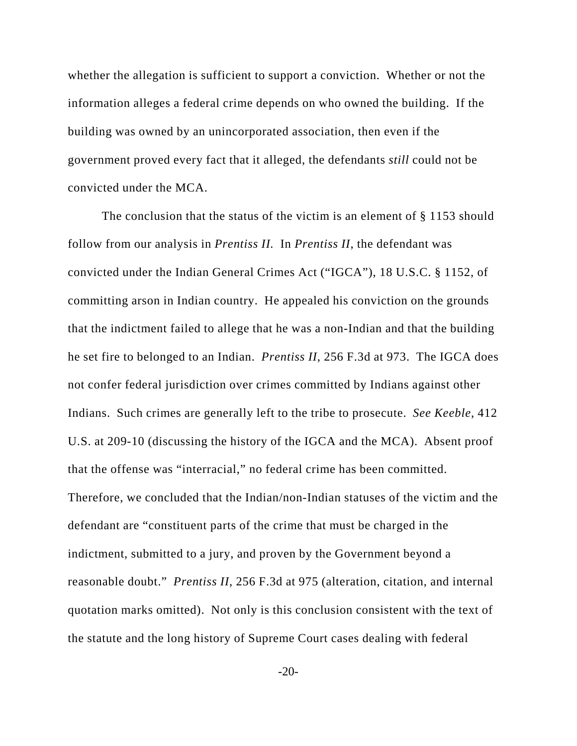whether the allegation is sufficient to support a conviction. Whether or not the information alleges a federal crime depends on who owned the building. If the building was owned by an unincorporated association, then even if the government proved every fact that it alleged, the defendants *still* could not be convicted under the MCA.

The conclusion that the status of the victim is an element of § 1153 should follow from our analysis in *Prentiss II.* In *Prentiss II*, the defendant was convicted under the Indian General Crimes Act ("IGCA"), 18 U.S.C. § 1152, of committing arson in Indian country. He appealed his conviction on the grounds that the indictment failed to allege that he was a non-Indian and that the building he set fire to belonged to an Indian. *Prentiss II*, 256 F.3d at 973. The IGCA does not confer federal jurisdiction over crimes committed by Indians against other Indians. Such crimes are generally left to the tribe to prosecute. *See Keeble*, 412 U.S. at 209-10 (discussing the history of the IGCA and the MCA). Absent proof that the offense was "interracial," no federal crime has been committed. Therefore, we concluded that the Indian/non-Indian statuses of the victim and the defendant are "constituent parts of the crime that must be charged in the indictment, submitted to a jury, and proven by the Government beyond a reasonable doubt." *Prentiss II*, 256 F.3d at 975 (alteration, citation, and internal quotation marks omitted). Not only is this conclusion consistent with the text of the statute and the long history of Supreme Court cases dealing with federal

-20-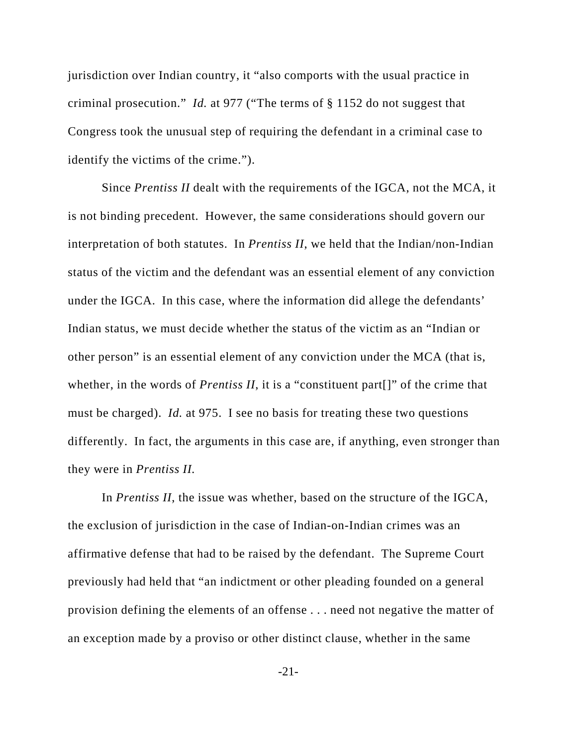jurisdiction over Indian country, it "also comports with the usual practice in criminal prosecution." *Id.* at 977 ("The terms of § 1152 do not suggest that Congress took the unusual step of requiring the defendant in a criminal case to identify the victims of the crime.").

Since *Prentiss II* dealt with the requirements of the IGCA, not the MCA, it is not binding precedent. However, the same considerations should govern our interpretation of both statutes. In *Prentiss II*, we held that the Indian/non-Indian status of the victim and the defendant was an essential element of any conviction under the IGCA. In this case, where the information did allege the defendants' Indian status, we must decide whether the status of the victim as an "Indian or other person" is an essential element of any conviction under the MCA (that is, whether, in the words of *Prentiss II*, it is a "constituent part<sup>[]"</sup> of the crime that must be charged). *Id.* at 975. I see no basis for treating these two questions differently. In fact, the arguments in this case are, if anything, even stronger than they were in *Prentiss II.*

In *Prentiss II*, the issue was whether, based on the structure of the IGCA, the exclusion of jurisdiction in the case of Indian-on-Indian crimes was an affirmative defense that had to be raised by the defendant. The Supreme Court previously had held that "an indictment or other pleading founded on a general provision defining the elements of an offense . . . need not negative the matter of an exception made by a proviso or other distinct clause, whether in the same

-21-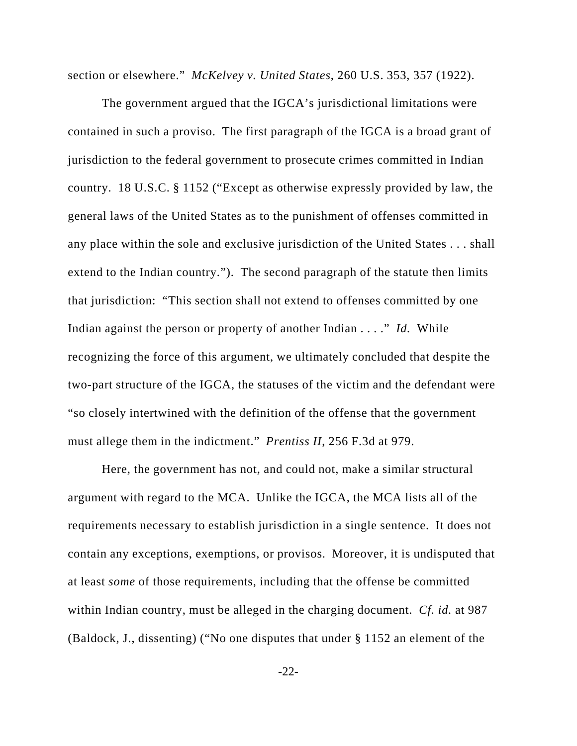section or elsewhere." *McKelvey v. United States*, 260 U.S. 353, 357 (1922).

The government argued that the IGCA's jurisdictional limitations were contained in such a proviso. The first paragraph of the IGCA is a broad grant of jurisdiction to the federal government to prosecute crimes committed in Indian country. 18 U.S.C. § 1152 ("Except as otherwise expressly provided by law, the general laws of the United States as to the punishment of offenses committed in any place within the sole and exclusive jurisdiction of the United States . . . shall extend to the Indian country."). The second paragraph of the statute then limits that jurisdiction: "This section shall not extend to offenses committed by one Indian against the person or property of another Indian . . . ." *Id.* While recognizing the force of this argument, we ultimately concluded that despite the two-part structure of the IGCA, the statuses of the victim and the defendant were "so closely intertwined with the definition of the offense that the government must allege them in the indictment." *Prentiss II*, 256 F.3d at 979.

Here, the government has not, and could not, make a similar structural argument with regard to the MCA. Unlike the IGCA, the MCA lists all of the requirements necessary to establish jurisdiction in a single sentence. It does not contain any exceptions, exemptions, or provisos. Moreover, it is undisputed that at least *some* of those requirements, including that the offense be committed within Indian country, must be alleged in the charging document. *Cf. id.* at 987 (Baldock, J., dissenting) ("No one disputes that under § 1152 an element of the

-22-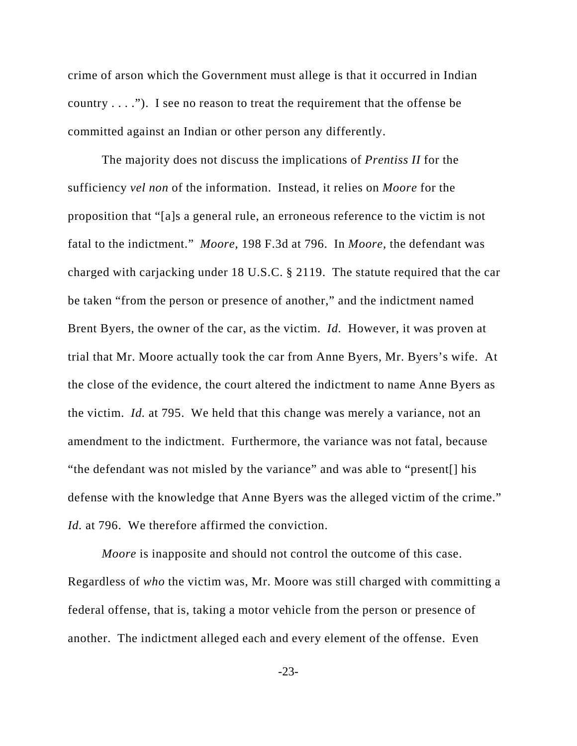crime of arson which the Government must allege is that it occurred in Indian country . . . ."). I see no reason to treat the requirement that the offense be committed against an Indian or other person any differently.

The majority does not discuss the implications of *Prentiss II* for the sufficiency *vel non* of the information. Instead, it relies on *Moore* for the proposition that "[a]s a general rule, an erroneous reference to the victim is not fatal to the indictment." *Moore*, 198 F.3d at 796. In *Moore*, the defendant was charged with carjacking under 18 U.S.C. § 2119. The statute required that the car be taken "from the person or presence of another," and the indictment named Brent Byers, the owner of the car, as the victim. *Id.* However, it was proven at trial that Mr. Moore actually took the car from Anne Byers, Mr. Byers's wife. At the close of the evidence, the court altered the indictment to name Anne Byers as the victim. *Id.* at 795. We held that this change was merely a variance, not an amendment to the indictment. Furthermore, the variance was not fatal, because "the defendant was not misled by the variance" and was able to "present[] his defense with the knowledge that Anne Byers was the alleged victim of the crime." *Id.* at 796. We therefore affirmed the conviction.

*Moore* is inapposite and should not control the outcome of this case. Regardless of *who* the victim was, Mr. Moore was still charged with committing a federal offense, that is, taking a motor vehicle from the person or presence of another. The indictment alleged each and every element of the offense. Even

-23-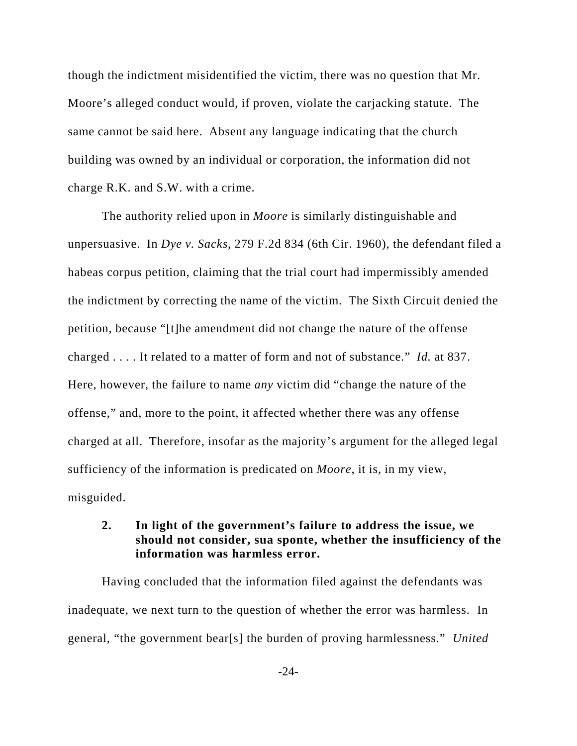though the indictment misidentified the victim, there was no question that Mr. Moore's alleged conduct would, if proven, violate the carjacking statute. The same cannot be said here. Absent any language indicating that the church building was owned by an individual or corporation, the information did not charge R.K. and S.W. with a crime.

The authority relied upon in *Moore* is similarly distinguishable and unpersuasive. In *Dye v. Sacks*, 279 F.2d 834 (6th Cir. 1960), the defendant filed a habeas corpus petition, claiming that the trial court had impermissibly amended the indictment by correcting the name of the victim. The Sixth Circuit denied the petition, because "[t]he amendment did not change the nature of the offense charged . . . . It related to a matter of form and not of substance." *Id.* at 837. Here, however, the failure to name *any* victim did "change the nature of the offense," and, more to the point, it affected whether there was any offense charged at all. Therefore, insofar as the majority's argument for the alleged legal sufficiency of the information is predicated on *Moore*, it is, in my view, misguided.

# **2. In light of the government's failure to address the issue, we should not consider, sua sponte, whether the insufficiency of the information was harmless error.**

Having concluded that the information filed against the defendants was inadequate, we next turn to the question of whether the error was harmless. In general, "the government bear[s] the burden of proving harmlessness." *United*

-24-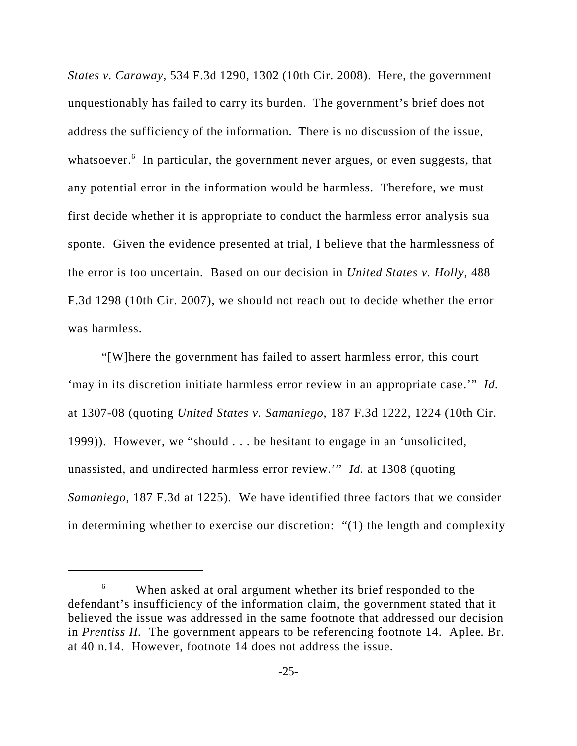*States v. Caraway*, 534 F.3d 1290, 1302 (10th Cir. 2008). Here, the government unquestionably has failed to carry its burden. The government's brief does not address the sufficiency of the information. There is no discussion of the issue, whatsoever.<sup>6</sup> In particular, the government never argues, or even suggests, that any potential error in the information would be harmless. Therefore, we must first decide whether it is appropriate to conduct the harmless error analysis sua sponte. Given the evidence presented at trial, I believe that the harmlessness of the error is too uncertain. Based on our decision in *United States v. Holly*, 488 F.3d 1298 (10th Cir. 2007), we should not reach out to decide whether the error was harmless.

"[W]here the government has failed to assert harmless error, this court 'may in its discretion initiate harmless error review in an appropriate case.'" *Id.* at 1307-08 (quoting *United States v. Samaniego*, 187 F.3d 1222, 1224 (10th Cir. 1999)). However, we "should . . . be hesitant to engage in an 'unsolicited, unassisted, and undirected harmless error review.'" *Id.* at 1308 (quoting *Samaniego*, 187 F.3d at 1225). We have identified three factors that we consider in determining whether to exercise our discretion: "(1) the length and complexity

<sup>&</sup>lt;sup>6</sup> When asked at oral argument whether its brief responded to the defendant's insufficiency of the information claim, the government stated that it believed the issue was addressed in the same footnote that addressed our decision in *Prentiss II.* The government appears to be referencing footnote 14. Aplee. Br. at 40 n.14. However, footnote 14 does not address the issue.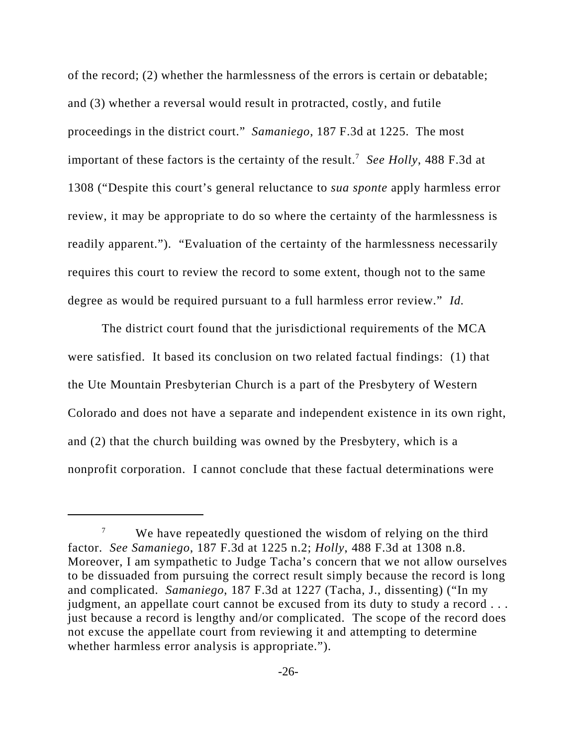of the record; (2) whether the harmlessness of the errors is certain or debatable; and (3) whether a reversal would result in protracted, costly, and futile proceedings in the district court." *Samaniego*, 187 F.3d at 1225. The most important of these factors is the certainty of the result.7 *See Holly*, 488 F.3d at 1308 ("Despite this court's general reluctance to *sua sponte* apply harmless error review, it may be appropriate to do so where the certainty of the harmlessness is readily apparent."). "Evaluation of the certainty of the harmlessness necessarily requires this court to review the record to some extent, though not to the same degree as would be required pursuant to a full harmless error review." *Id.*

The district court found that the jurisdictional requirements of the MCA were satisfied. It based its conclusion on two related factual findings: (1) that the Ute Mountain Presbyterian Church is a part of the Presbytery of Western Colorado and does not have a separate and independent existence in its own right, and (2) that the church building was owned by the Presbytery, which is a nonprofit corporation. I cannot conclude that these factual determinations were

 $7$  We have repeatedly questioned the wisdom of relying on the third factor. *See Samaniego*, 187 F.3d at 1225 n.2; *Holly*, 488 F.3d at 1308 n.8. Moreover, I am sympathetic to Judge Tacha's concern that we not allow ourselves to be dissuaded from pursuing the correct result simply because the record is long and complicated. *Samaniego*, 187 F.3d at 1227 (Tacha, J., dissenting) ("In my judgment, an appellate court cannot be excused from its duty to study a record ... just because a record is lengthy and/or complicated. The scope of the record does not excuse the appellate court from reviewing it and attempting to determine whether harmless error analysis is appropriate.").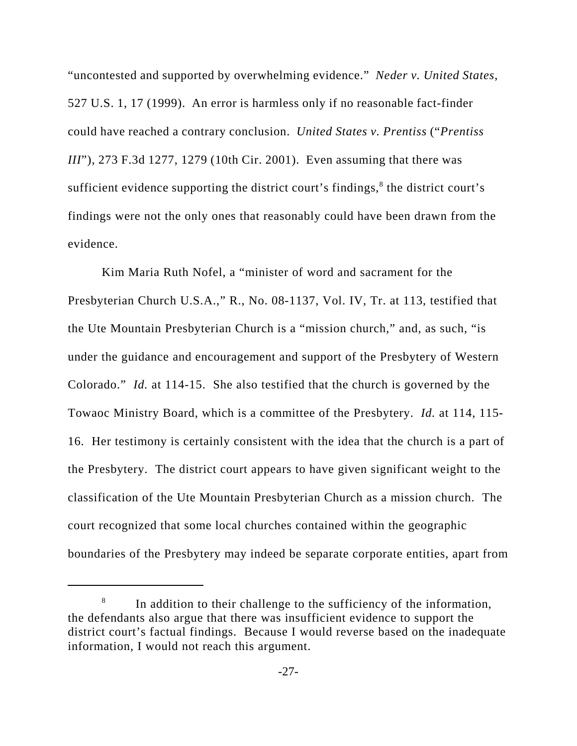"uncontested and supported by overwhelming evidence." *Neder v. United States*, 527 U.S. 1, 17 (1999). An error is harmless only if no reasonable fact-finder could have reached a contrary conclusion. *United States v. Prentiss* ("*Prentiss III*"), 273 F.3d 1277, 1279 (10th Cir. 2001). Even assuming that there was sufficient evidence supporting the district court's findings, $<sup>8</sup>$  the district court's</sup> findings were not the only ones that reasonably could have been drawn from the evidence.

Kim Maria Ruth Nofel, a "minister of word and sacrament for the Presbyterian Church U.S.A.," R., No. 08-1137, Vol. IV, Tr. at 113, testified that the Ute Mountain Presbyterian Church is a "mission church," and, as such, "is under the guidance and encouragement and support of the Presbytery of Western Colorado." *Id.* at 114-15. She also testified that the church is governed by the Towaoc Ministry Board, which is a committee of the Presbytery. *Id.* at 114, 115- 16. Her testimony is certainly consistent with the idea that the church is a part of the Presbytery. The district court appears to have given significant weight to the classification of the Ute Mountain Presbyterian Church as a mission church. The court recognized that some local churches contained within the geographic boundaries of the Presbytery may indeed be separate corporate entities, apart from

In addition to their challenge to the sufficiency of the information, the defendants also argue that there was insufficient evidence to support the district court's factual findings. Because I would reverse based on the inadequate information, I would not reach this argument.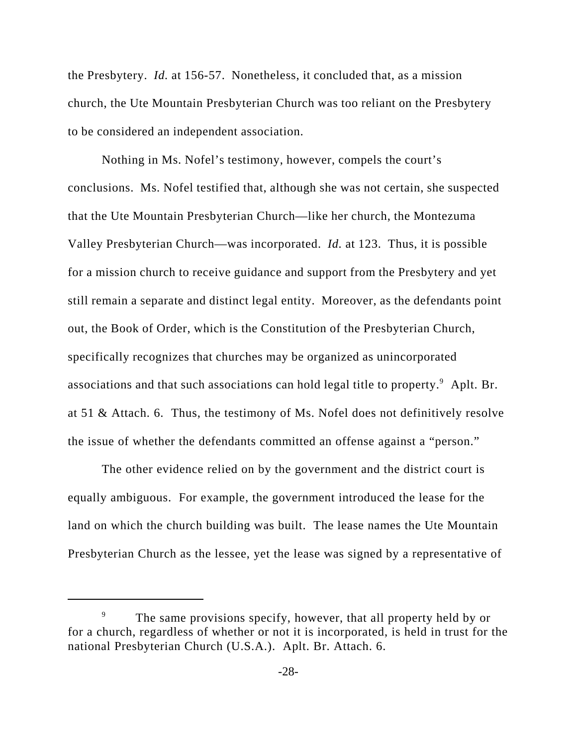the Presbytery. *Id.* at 156-57. Nonetheless, it concluded that, as a mission church, the Ute Mountain Presbyterian Church was too reliant on the Presbytery to be considered an independent association.

Nothing in Ms. Nofel's testimony, however, compels the court's conclusions. Ms. Nofel testified that, although she was not certain, she suspected that the Ute Mountain Presbyterian Church—like her church, the Montezuma Valley Presbyterian Church—was incorporated. *Id.* at 123. Thus, it is possible for a mission church to receive guidance and support from the Presbytery and yet still remain a separate and distinct legal entity. Moreover, as the defendants point out, the Book of Order, which is the Constitution of the Presbyterian Church, specifically recognizes that churches may be organized as unincorporated associations and that such associations can hold legal title to property.<sup>9</sup> Aplt. Br. at 51 & Attach. 6. Thus, the testimony of Ms. Nofel does not definitively resolve the issue of whether the defendants committed an offense against a "person."

The other evidence relied on by the government and the district court is equally ambiguous. For example, the government introduced the lease for the land on which the church building was built. The lease names the Ute Mountain Presbyterian Church as the lessee, yet the lease was signed by a representative of

The same provisions specify, however, that all property held by or for a church, regardless of whether or not it is incorporated, is held in trust for the national Presbyterian Church (U.S.A.). Aplt. Br. Attach. 6.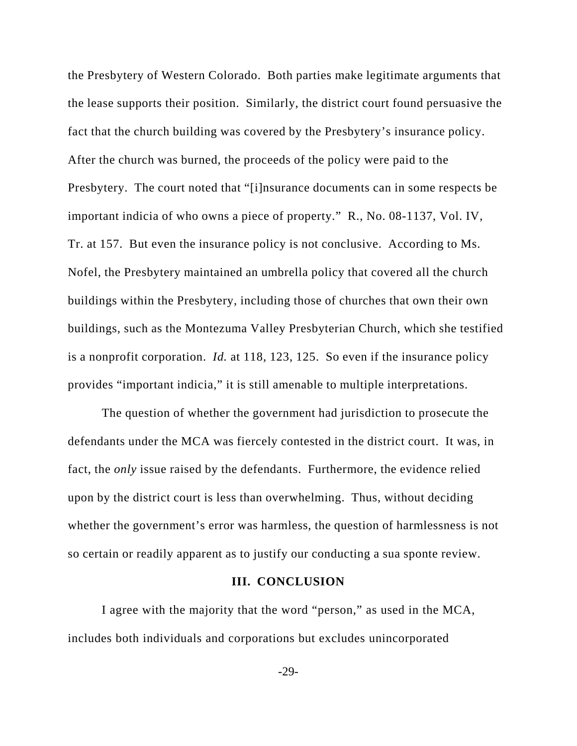the Presbytery of Western Colorado. Both parties make legitimate arguments that the lease supports their position. Similarly, the district court found persuasive the fact that the church building was covered by the Presbytery's insurance policy. After the church was burned, the proceeds of the policy were paid to the Presbytery. The court noted that "[i]nsurance documents can in some respects be important indicia of who owns a piece of property." R., No. 08-1137, Vol. IV, Tr. at 157. But even the insurance policy is not conclusive. According to Ms. Nofel, the Presbytery maintained an umbrella policy that covered all the church buildings within the Presbytery, including those of churches that own their own buildings, such as the Montezuma Valley Presbyterian Church, which she testified is a nonprofit corporation. *Id.* at 118, 123, 125. So even if the insurance policy provides "important indicia," it is still amenable to multiple interpretations.

The question of whether the government had jurisdiction to prosecute the defendants under the MCA was fiercely contested in the district court. It was, in fact, the *only* issue raised by the defendants. Furthermore, the evidence relied upon by the district court is less than overwhelming. Thus, without deciding whether the government's error was harmless, the question of harmlessness is not so certain or readily apparent as to justify our conducting a sua sponte review.

#### **III. CONCLUSION**

I agree with the majority that the word "person," as used in the MCA, includes both individuals and corporations but excludes unincorporated

-29-